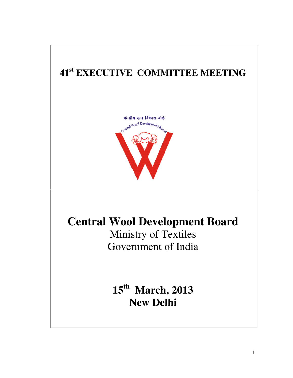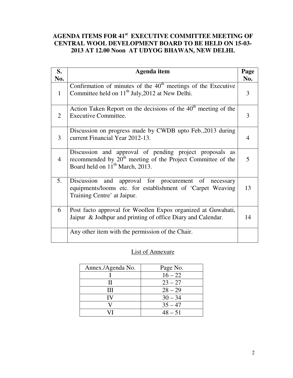# **AGENDA ITEMS FOR 41st EXECUTIVE COMMITTEE MEETING OF CENTRAL WOOL DEVELOPMENT BOARD TO BE HELD ON 15-03- 2013 AT 12.00 Noon AT UDYOG BHAWAN, NEW DELHI.**

| S.             | Agenda item                                                                                                                                                                       | Page |
|----------------|-----------------------------------------------------------------------------------------------------------------------------------------------------------------------------------|------|
| No.            |                                                                                                                                                                                   | No.  |
| $\mathbf{1}$   | Confirmation of minutes of the $40th$ meetings of the Executive<br>Committee held on $11th$ July, 2012 at New Delhi.                                                              | 3    |
| 2              | Action Taken Report on the decisions of the $40th$ meeting of the<br><b>Executive Committee.</b>                                                                                  | 3    |
| 3              | Discussion on progress made by CWDB upto Feb., 2013 during<br>current Financial Year 2012-13.                                                                                     | 4    |
| $\overline{4}$ | Discussion and approval of pending project proposals as<br>recommended by 20 <sup>th</sup> meeting of the Project Committee of the<br>Board held on 11 <sup>th</sup> March, 2013. | 5    |
| 5.             | Discussion and approval for procurement of necessary<br>equipments/looms etc. for establishment of 'Carpet Weaving<br>Training Centre' at Jaipur.                                 | 13   |
| 6              | Post facto approval for Woollen Expos organized at Guwahati,<br>Jaipur & Jodhpur and printing of office Diary and Calendar.                                                       | 14   |
|                | Any other item with the permission of the Chair.                                                                                                                                  |      |

# List of Annexure

| Annex./Agenda No. | Page No.  |
|-------------------|-----------|
|                   | $16 - 22$ |
|                   | $23 - 27$ |
| Ш                 | $28 - 29$ |
| IV                | $30 - 34$ |
|                   | $35 - 47$ |
|                   | $48 - 51$ |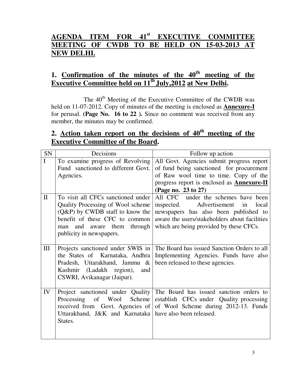# **AGENDA ITEM FOR 41st EXECUTIVE COMMITTEE MEETING OF CWDB TO BE HELD ON 15-03-2013 AT NEW DELHI.**

# **1. Confirmation of the minutes of the 40th meeting of the Executive Committee held on 11th July,2012 at New Delhi.**

The 40<sup>th</sup> Meeting of the Executive Committee of the CWDB was held on 11-07-2012. Copy of minutes of the meeting is enclosed as **Annexure-I** for perusal. **(Page No. 16 to 22 ).** Since no comment was received from any member, the minutes may be confirmed.

# **2. Action taken report on the decisions of 40th meeting of the Executive Committee of the Board.**

| SN                | Decisions                                                                                                                                                              | Follow up action                                                                                                                                                                                                                                  |
|-------------------|------------------------------------------------------------------------------------------------------------------------------------------------------------------------|---------------------------------------------------------------------------------------------------------------------------------------------------------------------------------------------------------------------------------------------------|
| I<br>$\mathbf{I}$ | To examine progress of Revolving<br>Fund sanctioned to different Govt.<br>Agencies.<br>To visit all CFCs sanctioned under                                              | All Govt. Agencies submit progress report<br>of fund being sanctioned for procurement<br>of Raw wool time to time. Copy of the<br>progress report is enclosed as <b>Annexure-II</b><br>(Page no. 23 to 27)<br>All CFC under the schemes have been |
|                   | Quality Processing of Wool scheme<br>$(Q\&P)$ by CWDB staff to know the<br>benefit of these CFC to common<br>and aware them through<br>man<br>publicity in newspapers. | Advertisement<br>inspected.<br>in<br>local<br>newspapers has also been published to<br>aware the users/stakeholders about facilities<br>which are being provided by these CFCs.                                                                   |
| III               | the States of Karnataka, Andhra<br>Pradesh, Uttarakhand, Jammu &<br>Kashmir (Ladakh region),<br>and<br>CSWRI, Avikanagar (Jaipur).                                     | Projects sanctioned under SWIS in   The Board has issued Sanction Orders to all<br>Implementing Agencies. Funds have also<br>been released to these agencies.                                                                                     |
| IV                | Project sanctioned under Quality<br>Processing<br>of Wool<br>received from Govt. Agencies of<br>Uttarakhand, J&K and Karnataka   have also been released.<br>States.   | The Board has issued sanction orders to<br>Scheme establish CFCs under Quality processing<br>of Wool Scheme during 2012-13. Funds                                                                                                                 |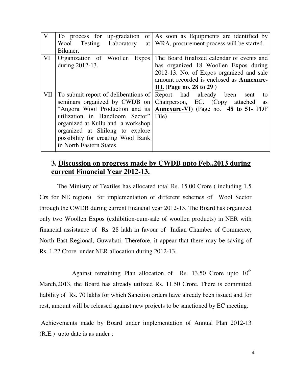| To process for up-gradation          | of As soon as Equipments are identified by                           |
|--------------------------------------|----------------------------------------------------------------------|
| Laboratory<br>Testing<br>Wool        | at   WRA, procurement process will be started.                       |
| Bikaner.                             |                                                                      |
| Organization of Woollen Expos        | The Board finalized calendar of events and                           |
| during 2012-13.                      | has organized 18 Woollen Expos during                                |
|                                      | 2012-13. No. of Expos organized and sale                             |
|                                      | amount recorded is enclosed as <b>Annexure-</b>                      |
|                                      | III. (Page no. 28 to 29)                                             |
| To submit report of deliberations of | Report had already<br>been<br>sent<br>to                             |
| seminars organized by CWDB on        | Chairperson, EC. (Copy<br>attached<br>as                             |
|                                      | "Angora Wool Production and its Annexure-VI) (Page no. 48 to 51- PDF |
| utilization in Handloom Sector"      | File)                                                                |
| organized at Kullu and a workshop    |                                                                      |
| organized at Shilong to explore      |                                                                      |
| possibility for creating Wool Bank   |                                                                      |
| in North Eastern States.             |                                                                      |
|                                      |                                                                      |

# **3. Discussion on progress made by CWDB upto Feb.,2013 during current Financial Year 2012-13.**

 The Ministry of Textiles has allocated total Rs. 15.00 Crore ( including 1.5 Crs for NE region) for implementation of different schemes of Wool Sector through the CWDB during current financial year 2012-13. The Board has organized only two Woollen Expos (exhibition-cum-sale of woollen products) in NER with financial assistance of Rs. 28 lakh in favour of Indian Chamber of Commerce, North East Regional, Guwahati. Therefore, it appear that there may be saving of Rs. 1.22 Crore under NER allocation during 2012-13.

Against remaining Plan allocation of Rs. 13.50 Crore upto  $10<sup>th</sup>$ March,2013, the Board has already utilized Rs. 11.50 Crore. There is committed liability of Rs. 70 lakhs for which Sanction orders have already been issued and for rest, amount will be released against new projects to be sanctioned by EC meeting.

 Achievements made by Board under implementation of Annual Plan 2012-13 (R.E.) upto date is as under :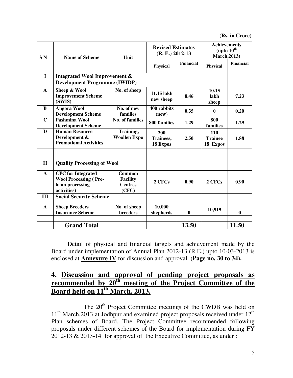**(Rs. in Crore)**

| S <sub>N</sub> | <b>Name of Scheme</b>                                                                       | Unit                                                        | <b>Revised Estimates</b><br>$(R. E.) 2012-13$ |                  | <b>Achievements</b><br>(upto 10 <sup>th</sup><br><b>March, 2013)</b> |           |
|----------------|---------------------------------------------------------------------------------------------|-------------------------------------------------------------|-----------------------------------------------|------------------|----------------------------------------------------------------------|-----------|
|                |                                                                                             |                                                             | <b>Physical</b>                               | <b>Financial</b> | <b>Physical</b>                                                      | Financial |
| $\bf{I}$       | Integrated Wool Improvement &<br><b>Development Programme (IWIDP)</b>                       |                                                             |                                               |                  |                                                                      |           |
| $\mathbf{A}$   | Sheep & Wool<br><b>Improvement Scheme</b><br>(SWIS)                                         | No. of sheep                                                | 11.15 lakh<br>new sheep                       | 8.46             | 10.15<br>lakh<br>sheep                                               | 7.23      |
| B              | <b>Angora Wool</b><br><b>Development Scheme</b>                                             | No. of new<br>families                                      | 400 rabbits<br>(new)                          | 0.35             | $\mathbf 0$                                                          | 0.20      |
| $\mathbf C$    | Pashmina Wool<br><b>Development Scheme</b>                                                  | <b>No. of families</b>                                      | 800 families                                  | 1.29             | 800<br>families                                                      | 1.29      |
| D              | <b>Human Resource</b><br>Development &<br><b>Promotional Activities</b>                     | Training,<br><b>Woollen Expo</b>                            | 200<br><b>Trainees,</b><br>18 Expos           | 2.50             | 110<br><b>Trainee</b><br>18 Expos                                    | 1.88      |
| $\mathbf{I}$   | <b>Quality Processing of Wool</b>                                                           |                                                             |                                               |                  |                                                                      |           |
| A              | <b>CFC</b> for Integrated<br><b>Wool Processing (Pre-</b><br>loom processing<br>activities) | <b>Common</b><br><b>Facility</b><br><b>Centres</b><br>(CFC) | 2 CFCs                                        | 0.90             | 2 CFCs                                                               | 0.90      |
| III            | <b>Social Security Scheme</b>                                                               |                                                             |                                               |                  |                                                                      |           |
| $\mathbf{A}$   | <b>Sheep Breeders</b><br><b>Insurance Scheme</b>                                            | No. of sheep<br><b>breeders</b>                             | 10,000<br>shepherds                           | $\bf{0}$         | 10,919                                                               | $\bf{0}$  |
|                | <b>Grand Total</b>                                                                          |                                                             |                                               | 13.50            |                                                                      | 11.50     |

 Detail of physical and financial targets and achievement made by the Board under implementation of Annual Plan 2012-13 (R.E.) upto 10-03-2013 is enclosed at **Annexure IV** for discussion and approval. (**Page no. 30 to 34).**

# **4. Discussion and approval of pending project proposals as recommended by 20<sup>th</sup> meeting of the Project Committee of the Board held on 11th March, 2013.**

The 20<sup>th</sup> Project Committee meetings of the CWDB was held on  $11<sup>th</sup> March,2013$  at Jodhpur and examined project proposals received under  $12<sup>th</sup>$ Plan schemes of Board. The Project Committee recommended following proposals under different schemes of the Board for implementation during FY 2012-13 & 2013-14 for approval of the Executive Committee, as under :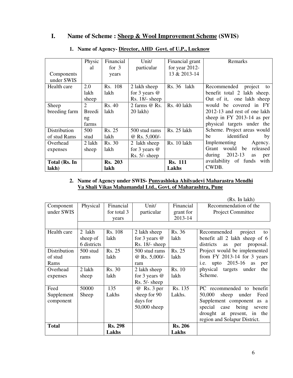## **I. Name of Scheme : Sheep & Wool Improvement Scheme (SWIS)**

|               | Physic        | Financial      | Unit/            | Financial grant   | Remarks                       |
|---------------|---------------|----------------|------------------|-------------------|-------------------------------|
|               | al            | for $3$        | particular       | for year $2012$ - |                               |
| Components    |               | years          |                  | 13 & 2013-14      |                               |
| under SWIS    |               |                |                  |                   |                               |
| Health care   | 2.0           | Rs. 108        | 2 lakh sheep     | Rs. 36 lakh       | Recommended<br>project<br>to  |
|               | lakh          | lakh           | for 3 years $@$  |                   | benefit total 2 lakh sheep.   |
|               | sheep         |                | $Rs. 18/- sheep$ |                   | Out of it, one lakh sheep     |
| Sheep         | 2             | Rs. 40         | 2 farms $@$ Rs.  | Rs. 40 lakh       | would be covered in FY        |
| breeding farm | <b>Breedi</b> | lakh           | $20$ lakh $)$    |                   | 2012-13 and rest of one lakh  |
|               | ng            |                |                  |                   | sheep in FY 2013-14 as per    |
|               | farms         |                |                  |                   | physical targets under the    |
| Distribution  | 500           | Rs. 25         | 500 stud rams    | $Rs. 25$ lakh     | Scheme. Project areas would   |
| of stud Rams  | stud          | lakh           | @ Rs. $5,000/-$  |                   | identified<br>be<br>by        |
| Overhead      | 2 lakh        | Rs. 30         | 2 lakh sheep     | Rs. 10 lakh       | Implementing<br>Agency.       |
| expenses      | sheep         | lakh           | for 3 years $@$  |                   | would be<br>Grant<br>released |
|               |               |                | $Rs. 5/- sheep$  |                   | during $2012-13$<br>as<br>per |
| Total (Rs. In |               | <b>Rs. 203</b> |                  | <b>Rs. 111</b>    | availability of funds<br>with |
| lakh)         |               | lakh           |                  | Lakhs             | CWDB.                         |

## **1. Name of Agency- Director, AHD Govt. of U.P., Lucknow**

### **2. Name of Agency under SWIS- Punyashloka Ahilyadevi Maharastra Mendhi Va Shali Vikas Mahamandal Ltd., Govt. of Maharashtra, Pune**

|              |             |                |                   |                | (Rs. In lakh)                              |
|--------------|-------------|----------------|-------------------|----------------|--------------------------------------------|
| Component    | Physical    | Financial      | Unit/             | Financial      | Recommendation of the                      |
| under SWIS   |             | for total 3    | particular        | grant for      | Project Committee                          |
|              |             | years          |                   | 2013-14        |                                            |
|              |             |                |                   |                |                                            |
| Health care  | 2 lakh      | Rs. 108        | 2 lakh sheep      | Rs. 36         | Recommended<br>project<br>to               |
|              | sheep of    | lakh           | for 3 years $@$   | lakh           | benefit all 2 lakh sheep of 6              |
|              | 6 districts |                | Rs. 18/- sheep    |                | districts<br>proposal.<br><b>as</b><br>per |
| Distribution | 500 stud    | Rs. 25         | 500 stud rams     | Rs. 25         | Project would be implemented               |
| of stud      | rams        | lakh           | @ Rs. 5,000/-     | lakh           | from FY 2013-14 for 3 years                |
| Rams         |             |                | ram               |                | 2015-16<br>i.e.<br>upto<br>as<br>per       |
| Overhead     | 2 lakh      | Rs. 30         | 2 lakh sheep      | Rs. 10         | physical targets<br>under<br>the           |
| expenses     | sheep       | lakh           | for $3$ years $@$ | lakh           | Scheme.                                    |
|              |             |                | $Rs. 5/- sheep$   |                |                                            |
| Feed         | 50000       | 135            | @ Rs. 3 per       | Rs. 135        | PC recommended to benefit                  |
| Supplement   | Sheep       | Lakhs          | sheep for 90      | Lakhs.         | 50,000<br>sheep<br>under<br>Feed           |
| component    |             |                | days for          |                | Supplement component<br>as a               |
|              |             |                | 50,000 sheep      |                | special<br>being<br>case<br>severe         |
|              |             |                |                   |                | drought<br>at present, in the              |
|              |             |                |                   |                | region and Solapur District.               |
| <b>Total</b> |             | <b>Rs. 298</b> |                   | <b>Rs. 206</b> |                                            |
|              |             | Lakhs          |                   | <b>Lakhs</b>   |                                            |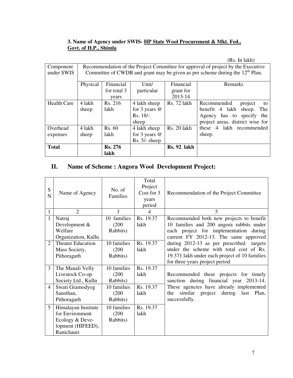### **3. Name of Agency under SWIS- HP State Wool Procurement & Mkt. Fed., Govt. of H.P., Shimla**

|                    |          |                |                 |             | (Rs. In lakh)                                                                    |
|--------------------|----------|----------------|-----------------|-------------|----------------------------------------------------------------------------------|
| Component          |          |                |                 |             | Recommendation of the Project Committee for approval of project by the Executive |
| under SWIS         |          |                |                 |             | Committee of CWDB and grant may be given as per scheme during the $12th$ Plan.   |
|                    | Physical | Financial      | Unit/           | Financial   | Remarks                                                                          |
|                    |          | for total 3    | particular      | grant for   |                                                                                  |
|                    |          | years          |                 | 2013-14     |                                                                                  |
| <b>Health Care</b> | 4 lakh   | Rs. 216        | 4 lakh sheep    | Rs. 72 lakh | Recommended<br>project<br>to                                                     |
|                    | sheep    | lakh           | for 3 years $@$ |             | sheep.<br>benefit 4 lakh<br>The                                                  |
|                    |          |                | $Rs. 18/-$      |             | has to specify<br>the<br>Agency                                                  |
|                    |          |                | sheep           |             | project areas, district wise for                                                 |
| Overhead           | 4 lakh   | Rs. 60         | 4 lakh sheep    | Rs. 20 lakh | these 4 lakh recommended                                                         |
| expenses           | sheep    | lakh           | for 3 years $@$ |             | sheep.                                                                           |
|                    |          |                | $Rs. 5/- sheep$ |             |                                                                                  |
| <b>Total</b>       |          | <b>Rs. 276</b> |                 | Rs. 92 lakh |                                                                                  |
|                    |          | lakh           |                 |             |                                                                                  |

# **II. Name of Scheme : Angora Wool Development Project:**

| S<br>N         | Name of Agency           | No. of<br>Families | Total<br>Project<br>Cost for 3<br>years<br>period | Recommendation of the Project Committee              |
|----------------|--------------------------|--------------------|---------------------------------------------------|------------------------------------------------------|
| 1              | $\mathfrak{D}$           | 3                  | 4                                                 | 5                                                    |
| $\mathbf{1}$   | Natraj                   | 10 families        | Rs. 19.37                                         | Recommended both new projects to benefit             |
|                | Development $&$          | (200)              | lakh                                              | 10 families and 200 angora rabbits under             |
|                | Welfare                  | Rabbits)           |                                                   | each project for implementation during               |
|                | Organization, Kullu      |                    |                                                   | current FY 2012-13. The same approved                |
| $\overline{2}$ | <b>Theater Education</b> | 10 families        | Rs. 19.37                                         | during 2012-13 as per prescribed targets             |
|                | Mass Society,            | (200)              | lakh                                              | under the scheme with total cost of Rs.              |
|                | Pithoragarh              | Rabbits)           |                                                   | 19.371 lakh under each project of 10 families        |
|                |                          |                    |                                                   | for three years project period.                      |
| 3              | The Manali Velly         | 10 families        | Rs. 19.37                                         |                                                      |
|                | Livestock Co-op.         | (200)              | lakh                                              | Recommended these projects for timely                |
|                | Society Ltd., Kullu      | Rabbits)           |                                                   | sanction during financial year 2013-14.              |
| $\overline{4}$ | Swati Gramodyog          | 10 families        | Rs. 19.37                                         | These agencies have already implemented              |
|                | Sansthan,                | (200)              | lakh                                              | similar<br>during<br>project<br>last<br>Plan,<br>the |
|                | Pithoragarh              | Rabbits)           |                                                   | successfully.                                        |
| 5              | Himalayan Institute      | 10 families        | Rs. 19.37                                         |                                                      |
|                | for Environment          | (200)              | lakh                                              |                                                      |
|                | Ecology & Deve-          | Rabbits)           |                                                   |                                                      |
|                | lopment (HIFEED),        |                    |                                                   |                                                      |
|                | Ranichauri               |                    |                                                   |                                                      |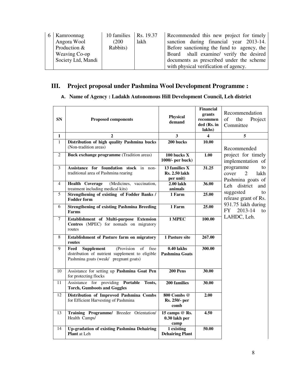| 6 Kamroonnag       | 10 families $\vert$ Rs. 19.37 |      | Recommended this new project for timely    |
|--------------------|-------------------------------|------|--------------------------------------------|
| Angora Wool        | (200)                         | lakh | sanction during financial year 2013-14.    |
| Production &       | Rabbits)                      |      | Before sanctioning the fund to agency, the |
| Weaving Co-op      |                               |      | Board shall examine/ verify the desired    |
| Society Ltd, Mandi |                               |      | documents as prescribed under the scheme   |
|                    |                               |      | with physical verification of agency.      |

# **III. Project proposal under Pashmina Wool Development Programme :**

## A. **Name of Agency : Ladakh Autonomous Hill Development Council, Leh district**

| <b>SN</b>      | <b>Proposed components</b>                                                                                                                                      | <b>Physical</b><br>demand                          | <b>Financial</b><br>grants<br>recommen<br>ded (Rs. in<br>lakhs) | Recommendation<br>of<br>the<br>Project<br>Committee                                  |
|----------------|-----------------------------------------------------------------------------------------------------------------------------------------------------------------|----------------------------------------------------|-----------------------------------------------------------------|--------------------------------------------------------------------------------------|
| 1              | $\mathbf{2}$                                                                                                                                                    | 3                                                  | 4                                                               | 5                                                                                    |
| $\mathbf{1}$   | Distribution of high quality Pashmina bucks<br>(Non-tradition areas)                                                                                            | 200 bucks                                          | 10.00                                                           | Recommended                                                                          |
| $\overline{2}$ | <b>Buck exchange programme</b> (Tradition areas)                                                                                                                | 100 bucks X<br>1000/- per buck)                    | 1.00                                                            | project for timely<br>implementation of                                              |
| 3              | Assistance for foundation stock in non-<br>traditional area of Pashmina rearing                                                                                 | 13 families X<br><b>Rs. 2.50 lakh</b><br>per unit) | 31.25                                                           | programme<br>to<br>cover<br>$\mathcal{D}_{\mathcal{L}}$<br>lakh<br>Pashmina goats of |
| $\overline{4}$ | <b>Health Coverage</b><br>(Medicines, vaccination,<br>treatment including medical kits)                                                                         | 2.00 lakh<br>animals                               | 36.00                                                           | Leh district<br>and                                                                  |
| 5              | Strengthening of existing of Fodder Banks /<br><b>Fodder form</b>                                                                                               | 1 Farm                                             | 25.00                                                           | suggested<br>to<br>release grant of Rs.                                              |
| 6              | <b>Strengthening of existing Pashmina Breeding</b><br>Farms                                                                                                     | 1 Farm                                             | 25.00                                                           | 931.75 lakh during<br><b>FY</b><br>2013-14<br>$\mathbf{f}$                           |
| $\tau$         | Establishment of Multi-purpose Extension<br>Centres (MPEC) for nomads on migratory<br>routes                                                                    | 1 MPEC                                             | 100.00                                                          | LAHDC, Leh.                                                                          |
| 8              | <b>Establishment of Pasture farm on migratory</b><br>routes                                                                                                     | 1 Pasture site                                     | 267.00                                                          |                                                                                      |
| 9              | (Provision)<br>$\overline{of}$<br>Feed<br><b>Supplement</b><br>free<br>distribution of nutrient supplement to eligible<br>Pashmina goats (weak/ pregnant goats) | $0.40$ lakhs<br><b>Pashmina Goats</b>              | 300.00                                                          |                                                                                      |
| 10             | Assistance for setting up Pashmina Goat Pen<br>for protecting flocks                                                                                            | 200 Pens                                           | 30.00                                                           |                                                                                      |
| 11             | Assistance for providing Portable Tents,<br><b>Torch, Gumboots and Goggles</b>                                                                                  | 200 families                                       | 30.00                                                           |                                                                                      |
| 12             | Distribution of Improved Pashmina Combs<br>for Efficient Harvesting of Pashmina                                                                                 | 800 Combs @<br>Rs. 250/- per<br>comb               | 2.00                                                            |                                                                                      |
| 13             | Training Programme/ Breeder Orientation/<br>Health Camps/                                                                                                       | 15 camps @ Rs.<br>0.30 lakh per<br>camp            | 4.50                                                            |                                                                                      |
| 14             | <b>Up-gradation of existing Pashmina Dehairing</b><br><b>Plant</b> at Leh                                                                                       | 1 existing<br><b>Dehairing Plant</b>               | 50.00                                                           |                                                                                      |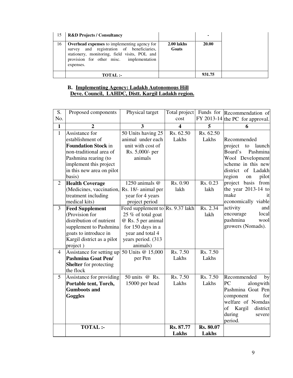| 15 | <b>R&amp;D Projects / Consultancy</b>                                                                                                                                                                      |                     | $\blacksquare$ |
|----|------------------------------------------------------------------------------------------------------------------------------------------------------------------------------------------------------------|---------------------|----------------|
| 16 | <b>Overhead expenses</b> to implementing agency for<br>survey and registration of beneficiaries,<br>stationery, monitoring, field visits, POL and<br>provision for other misc. implementation<br>expenses. | 2.00 lakhs<br>Goats | 20.00          |
|    | TOTAL:-                                                                                                                                                                                                    |                     | 931.75         |

### **B. Implementing Agency: Ladakh Autonomous Hill Deve. Council, LAHDC, Distt. Kargil Ladakh region.**

| S.             | Proposed components                          | Physical target                  | Total project        |           | Funds for Recommendation of     |
|----------------|----------------------------------------------|----------------------------------|----------------------|-----------|---------------------------------|
| No.            |                                              |                                  | cost                 |           | FY 2013-14 the PC for approval. |
| $\mathbf{1}$   |                                              | 3                                | $\blacktriangleleft$ | 5         | 6                               |
| $\mathbf{1}$   | Assistance for                               | 50 Units having 25               | Rs. 62.50            | Rs. 62.50 |                                 |
|                | establishment of                             | animal under each                | Lakhs                | Lakhs     | Recommended                     |
|                | <b>Foundation Stock in</b>                   | unit with cost of                |                      |           | project<br>launch<br>to         |
|                | non-traditional area of                      | Rs. 5,000/- per                  |                      |           | Pashmina<br>Board's             |
|                | Pashmina rearing (to                         | animals                          |                      |           | Wool Development                |
|                | implement this project                       |                                  |                      |           | scheme in this new              |
|                | in this new area on pilot                    |                                  |                      |           | district of Ladakh              |
|                | basis)                                       |                                  |                      |           | region<br>pilot<br>on           |
| $\overline{2}$ | <b>Health Coverage</b>                       | 1250 animals @                   | Rs. 0.90             | Rs. 0.23  | project basis from              |
|                | (Medicines, vaccination,                     | Rs. 18/- animal per              | lakh                 | lakh      | the year $2013-14$ to           |
|                | treatment including                          | year for 4 years                 |                      |           | make<br>1t                      |
|                | medical kits)                                | project period                   |                      |           | economically viable             |
| $\overline{3}$ | <b>Feed Supplement</b>                       | Feed supplement to Rs. 9.37 lakh |                      | Rs. 2.34  | activity<br>and                 |
|                | (Provision for                               | 25 % of total goat               |                      | lakh      | encourage<br>local              |
|                | distribution of nutrient                     | @ Rs. 5 per animal               |                      |           | pashmina<br>wool                |
|                | supplement to Pashmina                       | for 150 days in a                |                      |           | growers (Nomads).               |
|                | goats to introduce in                        | year and total 4                 |                      |           |                                 |
|                | Kargil district as a pilot                   | years period. (313)              |                      |           |                                 |
|                | project)                                     | animals)                         |                      |           |                                 |
| $\overline{4}$ | Assistance for setting up                    | 50 Units @ 15,000                | Rs. 7.50             | Rs. 7.50  |                                 |
|                | Pashmina Goat Pen/                           | per Pen                          | Lakhs                | Lakhs     |                                 |
|                | <b>Shelter</b> for protecting                |                                  |                      |           |                                 |
| 5              | the flock                                    | 50 units @ Rs.                   | Rs. 7.50             | Rs. 7.50  |                                 |
|                | Assistance for providing                     |                                  | Lakhs                | Lakhs     | Recommended<br>by<br>PC         |
|                | Portable tent, Torch,<br><b>Gumboots and</b> | 15000 per head                   |                      |           | alongwith<br>Pashmina Goat Pen  |
|                | Goggles                                      |                                  |                      |           | component<br>for                |
|                |                                              |                                  |                      |           | welfare of Nomdas               |
|                |                                              |                                  |                      |           | of<br>Kargil<br>district        |
|                |                                              |                                  |                      |           | during<br>severe                |
|                |                                              |                                  |                      |           | period.                         |
|                | <b>TOTAL:-</b>                               |                                  | Rs. 87.77            | Rs. 80.07 |                                 |
|                |                                              |                                  | Lakhs                | Lakhs     |                                 |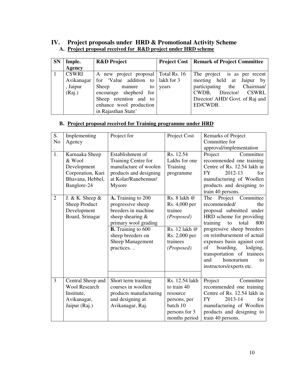## **IV. Project proposals under HRD & Promotional Activity Scheme A. Project proposal received for R&D project under HRD scheme**

| <b>SN</b> | Imple.                                           | <b>R&amp;D</b> Project                                                                                                                                                             |       | <b>Project Cost   Remark of Project Committee</b>                                                                                                                       |
|-----------|--------------------------------------------------|------------------------------------------------------------------------------------------------------------------------------------------------------------------------------------|-------|-------------------------------------------------------------------------------------------------------------------------------------------------------------------------|
|           | <b>Agency</b>                                    |                                                                                                                                                                                    |       |                                                                                                                                                                         |
|           | <b>CSWRI</b><br>Avikanagar<br>, Jaipur<br>(Raj.) | A new project proposal   Total Rs. 16<br>for 'Value addition to lakh for 3<br>Sheep<br>manure<br>to<br>encourage shepherd for<br>Sheep retention and to<br>enhance wool production | years | The project is as per recent<br>meeting held at Jaipur by<br>participating the Chairman/<br>Director/<br>CWDB,<br>CSWRI,<br>Director/ AHD/ Govt. of Raj and<br>ED/CWDB. |
|           |                                                  | in Rajasthan State'                                                                                                                                                                |       |                                                                                                                                                                         |

## **B. Project proposal received for Training programme under HRD**

| $\overline{S}$ . | Implementing         | Project for               | Project Cost   | Remarks of Project             |
|------------------|----------------------|---------------------------|----------------|--------------------------------|
| N <sub>o</sub>   | Agency               |                           |                | Committee for                  |
|                  |                      |                           |                | approval/implementation        |
| $\overline{1}$ . | Karnaaka Sheep       | Establishment of          | Rs. 12.54      | Project<br>Committee           |
|                  | & Wool               | Training Centre for       | Lakhs for one  | recommended one training       |
|                  | Development          | manufacture of woolen     | Training       | Centre of Rs. 12.54 lakh in    |
|                  | Corporation, Kuri    | products and designing    | programme      | for<br>2012-13<br><b>FY</b>    |
|                  | Bhavana, Hebbel,     | at Kolar/Ranebennur/      |                | manufacturing of Woollen       |
|                  | Banglore-24          | Mysore                    |                | products and designing to      |
|                  |                      |                           |                | train 40 persons.              |
| $\overline{2}$   | J. & K. Sheep $\&$   | A. Training to 200        | Rs. 8 lakh @   | Project<br>The<br>Committee    |
|                  | Sheep Product        | progressive sheep         | Rs. 4,000 per  | recommended/<br>the            |
|                  | Development          | breeders in machine       | trainee        | proposal submitted under       |
|                  | Board, Srinagar      | sheep shearing &          | (Proposed)     | HRD scheme for providing       |
|                  |                      | primary wool grading      |                | total<br>800<br>training<br>to |
|                  |                      | <b>B.</b> Training to 600 | Rs. 12 lakh @  | progressive sheep breeders     |
|                  |                      | sheep breeders on         | Rs. 2,000 per  | on reimbursement of actual     |
|                  |                      | Sheep Management          | trainees       | expenses basis against cost    |
|                  |                      | practices                 | (Proposed)     | of<br>boarding,<br>lodging,    |
|                  |                      |                           |                | transportation of trainees     |
|                  |                      |                           |                | honorarium<br>and<br>to        |
|                  |                      |                           |                | instructors/experts etc.       |
|                  |                      |                           |                |                                |
| $\overline{3}$   | Central Sheep and    | Short term training       | Rs. 12.54 lakh | Committee<br>Project           |
|                  | <b>Wool Research</b> | courses in woollen        | to train 40    | recommended one training       |
|                  | Institute,           | products manufacturing    | resource       | Centre of Rs. 12.54 lakh in    |
|                  | Avikanagar,          | and designing at          | persons, per   | 2013-14<br><b>FY</b><br>for    |
|                  | Jaipur (Raj.)        | Avikanagar, Raj.          | batch 10       | manufacturing of Woollen       |
|                  |                      |                           | persons for 3  | products and designing to      |
|                  |                      |                           | months period  | train 40 persons.              |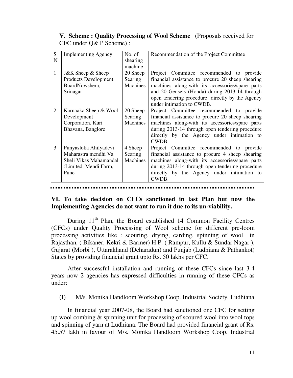## **V. Scheme : Quality Processing of Wool Scheme** (Proposals received for CFC under Q& P Scheme) :

| S              | <b>Implementing Agency</b>  | No. of   | Recommendation of the Project Committee           |
|----------------|-----------------------------|----------|---------------------------------------------------|
| N              |                             | shearing |                                                   |
|                |                             | machine  |                                                   |
| $\mathbf{1}$   | J&K Sheep & Sheep           | 20 Sheep | Project Committee recommended to provide          |
|                | <b>Products Development</b> | Searing  | financial assistance to procure 20 sheep shearing |
|                | BoardNowshera,              | Machines | machines along-with its accessories/spare parts   |
|                | Srinagar                    |          | and 20 Gensets (Honda) during 2013-14 through     |
|                |                             |          | open tendering procedure directly by the Agency   |
|                |                             |          | under intimation to CWDB.                         |
| $\overline{2}$ | Karnaaka Sheep & Wool       | 20 Sheep | Project Committee recommended to provide          |
|                | Development                 | Searing  | financial assistance to procure 20 sheep shearing |
|                | Corporation, Kuri           | Machines | machines along-with its accessories/spare parts   |
|                | Bhavana, Banglore           |          | during 2013-14 through open tendering procedure   |
|                |                             |          | directly by the Agency under intimation to        |
|                |                             |          | CWDB.                                             |
| 3              | Punyasloka Ahilyadevi       | 4 Sheep  | Project Committee recommended to provide          |
|                | Maharastra mendhi Va        | Searing  | financial assistance to procure 4 sheep shearing  |
|                | Sheli Vikas Mahamandal      | Machines | machines along-with its accessories/spare parts   |
|                | :Limited, Mendi Farm,       |          | during 2013-14 through open tendering procedure   |
|                | Pune                        |          | directly by the Agency under intimation to        |
|                |                             |          | CWDB.                                             |

## **VI. To take decision on CFCs sanctioned in last Plan but now the Implementing Agencies do not want to run it due to its un-viability.**

During  $11<sup>th</sup>$  Plan, the Board established 14 Common Facility Centres (CFCs) under Quality Processing of Wool scheme for different pre-loom processing activities like : scouring, drying, carding, spinning of wool in Rajasthan, ( Bikaner, Kekri & Barmer) H.P. ( Rampur, Kullu & Sundar Nagar ), Gujarat (Morbi ), Uttarakhand (Deharadun) and Punjab (Ludhiana & Pathankot) States by providing financial grant upto Rs. 50 lakhs per CFC.

 After successful installation and running of these CFCs since last 3-4 years now 2 agencies has expressed difficulties in running of these CFCs as under:

(I) M/s. Monika Handloom Workshop Coop. Industrial Society, Ludhiana

In financial year 2007-08, the Board had sanctioned one CFC for setting up wool combing & spinning unit for processing of scoured wool into wool tops and spinning of yarn at Ludhiana. The Board had provided financial grant of Rs. 45.57 lakh in favour of M/s. Monika Handloom Workshop Coop. Industrial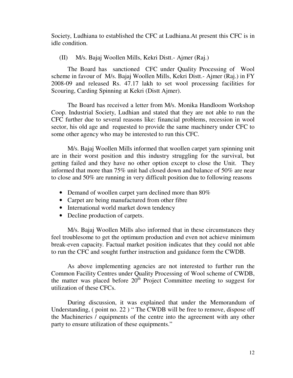Society, Ludhiana to established the CFC at Ludhiana.At present this CFC is in idle condition.

(II) M/s. Bajaj Woollen Mills, Kekri Distt.- Ajmer (Raj.)

 The Board has sanctioned CFC under Quality Processing of Wool scheme in favour of M/s. Bajaj Woollen Mills, Kekri Distt.- Ajmer (Raj.) in FY 2008-09 and released Rs. 47.17 lakh to set wool processing facilities for Scouring, Carding Spinning at Kekri (Distt Ajmer).

The Board has received a letter from M/s. Monika Handloom Workshop Coop. Industrial Society, Ludhian and stated that they are not able to run the CFC further due to several reasons like: financial problems, recession in wool sector, his old age and requested to provide the same machinery under CFC to some other agency who may be interested to run this CFC.

M/s. Bajaj Woollen Mills informed that woollen carpet yarn spinning unit are in their worst position and this industry struggling for the survival, but getting failed and they have no other option except to close the Unit. They informed that more than 75% unit had closed down and balance of 50% are near to close and 50% are running in very difficult position due to following reasons

- Demand of woollen carpet yarn declined more than 80%
- Carpet are being manufactured from other fibre
- International world market down tendency
- Decline production of carpets.

 M/s. Bajaj Woollen Mills also informed that in these circumstances they feel troublesome to get the optimum production and even not achieve minimum break-even capacity. Factual market position indicates that they could not able to run the CFC and sought further instruction and guidance form the CWDB.

 As above implementing agencies are not interested to further run the Common Facility Centres under Quality Processing of Wool scheme of CWDB, the matter was placed before  $20^{\text{th}}$  Project Committee meeting to suggest for utilization of these CFCs.

 During discussion, it was explained that under the Memorandum of Understanding, ( point no. 22 ) " The CWDB will be free to remove, dispose off the Machineries / equipments of the centre into the agreement with any other party to ensure utilization of these equipments."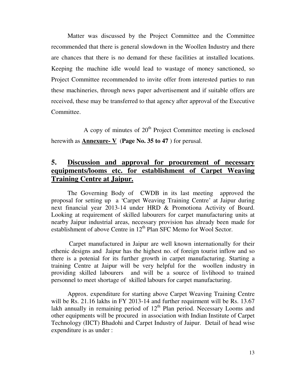Matter was discussed by the Project Committee and the Committee recommended that there is general slowdown in the Woollen Industry and there are chances that there is no demand for these facilities at installed locations. Keeping the machine idle would lead to wastage of money sanctioned, so Project Committee recommended to invite offer from interested parties to run these machineries, through news paper advertisement and if suitable offers are received, these may be transferred to that agency after approval of the Executive Committee.

A copy of minutes of  $20<sup>th</sup>$  Project Committee meeting is enclosed herewith as **Annexure- V** (**Page No. 35 to 47** ) for perusal.

# **5. Discussion and approval for procurement of necessary equipments/looms etc. for establishment of Carpet Weaving Training Centre at Jaipur.**

The Governing Body of CWDB in its last meeting approved the proposal for setting up a 'Carpet Weaving Training Centre' at Jaipur during next financial year 2013-14 under HRD & Promotiona Activity of Board. Looking at requirement of skilled labourers for carpet manufacturing units at nearby Jaipur industrial areas, necessary provision has already been made for establishment of above Centre in 12<sup>th</sup> Plan SFC Memo for Wool Sector.

 Carpet manufactured in Jaipur are well known internationally for their ethenic designs and Jaipur has the highest no. of foreign tourist inflow and so there is a potenial for its further growth in carpet manufacturing. Starting a training Centre at Jaipur will be very helpful for the woollen industry in providing skilled labourers and will be a source of livlihood to trained personnel to meet shortage of skilled labours for carpet manufacturing.

Approx. expenditure for starting above Carpet Weaving Training Centre will be Rs. 21.16 lakhs in FY 2013-14 and further requirment will be Rs. 13.67 lakh annually in remaining period of  $12<sup>th</sup>$  Plan period. Necessary Looms and other equipments will be procured in association with Indian Institute of Carpet Technology (IICT) Bhadohi and Carpet Industry of Jaipur. Detail of head wise expenditure is as under :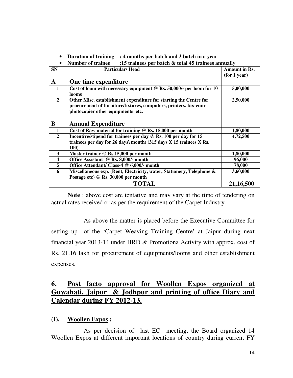• **Duration of training : 4 months per batch and 3 batch in a year** 

|  | <b>Number of trainee</b> | :15 trainees per batch $\&$ total 45 trainees annually |
|--|--------------------------|--------------------------------------------------------|
|--|--------------------------|--------------------------------------------------------|

| <b>SN</b>               | <b>Particular/Head</b>                                                                                                                                                     | Amount in Rs. |
|-------------------------|----------------------------------------------------------------------------------------------------------------------------------------------------------------------------|---------------|
|                         |                                                                                                                                                                            | (for 1 year)  |
| $\mathbf{A}$            | One time expenditure                                                                                                                                                       |               |
| $\mathbf{1}$            | Cost of loom with necessary equipment $@$ Rs. 50,000/- per loom for 10<br>looms                                                                                            | 5,00,000      |
| $\overline{2}$          | Other Misc. establishment expenditure for starting the Centre for<br>procurement of furniture/fixtures, computers, printers, fax-cum-<br>photocopier other equipments etc. | 2,50,000      |
| B                       | <b>Annual Expenditure</b>                                                                                                                                                  |               |
| $\mathbf{1}$            | Cost of Raw material for training $\mathcal Q$ Rs. 15,000 per month                                                                                                        | 1,80,000      |
| $\mathbf{2}$            | Incentive/stipend for trainees per day $\mathcal Q$ Rs. 100 per day for 15                                                                                                 | 4,72,500      |
|                         | trainees per day for 26 days\ month) (315 days X 15 trainees X Rs.<br><b>100)</b>                                                                                          |               |
| 3                       | Master trainer @ Rs.15,000 per month                                                                                                                                       | 1,80,000      |
| $\overline{\mathbf{4}}$ | Office Assistant @ Rs. 8,000/- month                                                                                                                                       | 96,000        |
| 5                       | Office Attendant/ Class-4 @ 6,000/- month                                                                                                                                  | 78,000        |
| 6                       | Miscellaneous exp. (Rent, Electricity, water, Stationery, Telephone &<br>Postage etc) @ Rs. 30,000 per month                                                               | 3,60,000      |
|                         | TOTAL                                                                                                                                                                      | 21,16,500     |

 **Note** : above cost are tentative and may vary at the time of tendering on actual rates received or as per the requirement of the Carpet Industry.

 As above the matter is placed before the Executive Committee for setting up of the 'Carpet Weaving Training Centre' at Jaipur during next financial year 2013-14 under HRD & Promotiona Activity with approx. cost of Rs. 21.16 lakh for procurement of equipments/looms and other establishment expenses.

# **6. Post facto approval for Woollen Expos organized at Guwahati, Jaipur & Jodhpur and printing of office Diary and Calendar during FY 2012-13.**

### **(I). Woollen Expos :**

 As per decision of last EC meeting, the Board organized 14 Woollen Expos at different important locations of country during current FY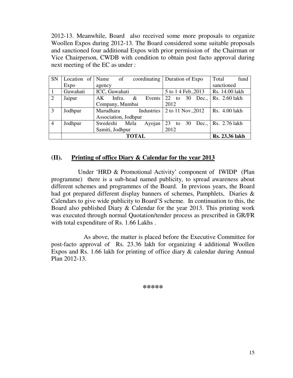2012-13. Meanwhile, Board also received some more proposals to organize Woollen Expos during 2012-13. The Board considered some suitable proposals and sanctioned four additional Expos with prior permission of the Chairman or Vice Chairperson, CWDB with condition to obtain post facto approval during next meeting of the EC as under :

| <b>SN</b>      | Location of | Name<br>of           | coordinating | Duration of Expo       | Total<br>fund         |
|----------------|-------------|----------------------|--------------|------------------------|-----------------------|
|                | Expo        | agency               |              |                        | sanctioned            |
| 1              | Guwahati    | ICC, Guwahati        |              | 5 to 14 Feb., 2013     | Rs. 14.00 lakh        |
| 2              | Jaipur      | $\&$<br>Infra.<br>AK | Events       | 30<br>$22$ to<br>Dec., | Rs. 2.60 lakh         |
|                |             | Company, Mumbai      |              | 2012                   |                       |
| 3              | Jodhpur     | Marudhara            | Industries   | 2 to 11 Nov., 2012     | Rs. 4.00 lakh         |
|                |             | Association, Jodhpur |              |                        |                       |
| $\overline{4}$ | Jodhpur     | Swedeshi<br>Mela     | Ayojan       | 23<br>to 30<br>Dec.,   | Rs. 2.76 lakh         |
|                |             | Samiti, Jodhpur      |              | 2012                   |                       |
|                |             | <b>TOTAL</b>         |              |                        | <b>Rs. 23.36 lakh</b> |

## **(II). Printing of office Diary & Calendar for the year 2013**

 Under 'HRD & Promotional Activity' component of IWIDP (Plan programme) there is a sub-head named publicity, to spread awareness about different schemes and programmes of the Board. In previous years, the Board had got prepared different display banners of schemes, Pamphlets, Diaries & Calendars to give wide publicity to Board'S scheme. In continuation to this, the Board also published Diary & Calendar for the year 2013. This printing work was executed through normal Quotation/tender process as prescribed in GR/FR with total expenditure of Rs. 1.66 Lakhs.

 As above, the matter is placed before the Executive Committee for post-facto approval of Rs. 23.36 lakh for organizing 4 additional Woollen Expos and Rs. 1.66 lakh for printing of office diary & calendar during Annual Plan 2012-13.

**\*\*\*\*\***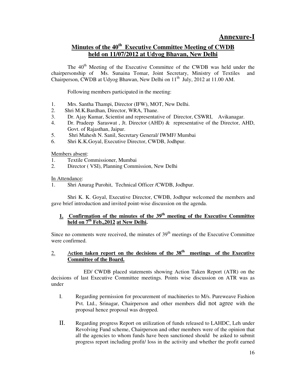# **Minutes of the 40th Executive Committee Meeting of CWDB held on 11/07/2012 at Udyog Bhavan, New Delhi**

The 40<sup>th</sup> Meeting of the Executive Committee of the CWDB was held under the chairpersonship of Ms. Sunaina Tomar, Joint Secretary, Ministry of Textiles and Chairperson, CWDB at Udvog Bhawan, New Delhi on 11<sup>th</sup> July, 2012 at 11.00 AM.

Following members participated in the meeting:

- 1. Mrs. Santha Thampi, Director (IFW), MOT, New Delhi.
- 2. Shri M.K.Bardhan, Director, WRA, Thane.
- 3. Dr. Ajay Kumar, Scientist and representative of Director, CSWRI, Avikanagar.
- 4. Dr. Pradeep Saraswat , Jt. Director (AHD) & representative of the Director, AHD, Govt. of Rajasthan, Jaipur.
- 5. Shri Mahesh N. Sanil, Secretary General/ IWMF/ Mumbai
- 6. Shri K.K.Goyal, Executive Director, CWDB, Jodhpur.

Members absent:

- 1. Textile Commissioner, Mumbai
- 2. Director ( VSI), Planning Commission, New Delhi

In Attendance:

1. Shri Anurag Purohit, Technical Officer /CWDB, Jodhpur.

 Shri K. K. Goyal, Executive Director, CWDB, Jodhpur welcomed the members and gave brief introduction and invited point-wise discussion on the agenda.

### **1. Confirmation of the minutes of the 39th meeting of the Executive Committee held on 7th Feb.,2012 at New Delhi.**

Since no comments were received, the minutes of  $39<sup>th</sup>$  meetings of the Executive Committee were confirmed.

### 2. A**ction taken report on the decisions of the 38th meetings of the Executive Committee of the Board.**

 ED/ CWDB placed statements showing Action Taken Report (ATR) on the decisions of last Executive Committee meetings. Points wise discussion on ATR was as under

- I. Regarding permission for procurement of machineries to M/s. Pureweave Fashion Pvt. Ltd., Srinagar, Chairperson and other members did not agree with the proposal hence proposal was dropped.
- II. Regarding progress Report on utilization of funds released to LAHDC, Leh under Revolving Fund scheme, Chairperson and other members were of the opinion that all the agencies to whom funds have been sanctioned should be asked to submit progress report including profit/ loss in the activity and whether the profit earned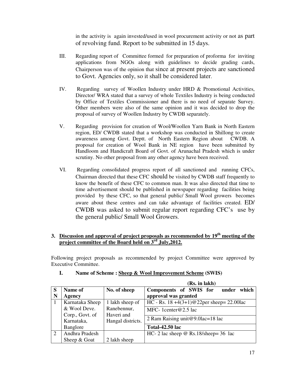in the activity is again invested/used in wool procurement activity or not as part of revolving fund. Report to be submitted in 15 days.

- III. Regarding report of Committee formed for preparation of proforma for inviting applications from NGOs along with guidelines to decide grading cards, Chairperson was of the opinion that since at present projects are sanctioned to Govt. Agencies only, so it shall be considered later.
- IV. Regarding survey of Woollen Industry under HRD & Promotional Activities, Director/ WRA stated that a survey of whole Textiles Industry is being conducted by Office of Textiles Commissioner and there is no need of separate Survey. Other members were also of the same opinion and it was decided to drop the proposal of survey of Woollen Industry by CWDB separately.
- V. Regarding provision for creation of Wool/Woollen Yarn Bank in North Eastern region, ED/ CWDB stated that a workshop was conducted in Shillong to create awareness among Govt. Deptt. of North Eastern Region about CWDB. A proposal for creation of Wool Bank in NE region have been submitted by Handloom and Handicraft Board of Govt. of Arunachal Pradesh which is under scrutiny. No other proposal from any other agency have been received.
- VI. Regarding consolidated progress report of all sanctioned and running CFCs, Chairman directed that these CFC should be visited by CWDB staff frequently to know the benefit of these CFC to common man. It was also directed that time to time advertisement should be published in newspaper regarding facilities being provided by these CFC, so that general public/ Small Wool growers becomes aware about these centres and can take advantage of facilities created. ED/ CWDB was asked to submit regular report regarding CFC's use by the general public/ Small Wool Growers.

### **3. Discussion and approval of project proposals as recommended by 19th meeting of the project committee of the Board held on 3rd July,2012.**

Following project proposals as recommended by project Committee were approved by Executive Committee.

**(Rs. in lakh)**

|   |                 |                   | лужин кили                                      |
|---|-----------------|-------------------|-------------------------------------------------|
| S | Name of         | No. of sheep      | which<br>Components of SWIS for<br>under        |
| N | Agency          |                   | approval was granted                            |
|   | Karnataka Sheep | 1 lakh sheep of   | HC - Rs. $18 + 4(3+1)@22$ per sheep = 22.00 lac |
|   | & Wool Deve.    | Ranebennur,       | MFC- 1 center $@2.5$ lac                        |
|   | Corp., Govt. of | Haveri and        |                                                 |
|   | Karnataka,      | Hangal districts. | 2 Ram Raising unit@9.0lac=18 lac                |
|   | Banglore        |                   | <b>Total-42.50 lac</b>                          |
| 2 | Andhra Pradesh  |                   | HC- 2 lac sheep $\omega$ Rs.18/sheep= 36 lac    |
|   | Sheep $&$ Goat  | 2 lakh sheep      |                                                 |

#### **I. Name of Scheme : Sheep & Wool Improvement Scheme (SWIS)**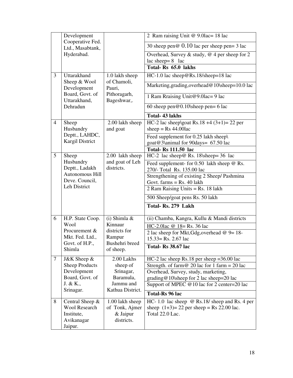|                | Development                          |                               | 2 Ram raising Unit @ 9.01ac= 18 lac                                                              |
|----------------|--------------------------------------|-------------------------------|--------------------------------------------------------------------------------------------------|
|                | Cooperative Fed.<br>Ltd., Masabtank, |                               | 30 sheep pen $\omega$ 0.10 lac per sheep pen = 3 lac                                             |
|                | Hyderabad.                           |                               | Overhead, Survey & study, $@$ 4 per sheep for 2<br>lac sheep= $8$ lac                            |
|                |                                      |                               | Total-Rs 65.0 lakhs                                                                              |
| 3              | Uttarakhand                          | 1.0 lakh sheep                | $HC-1.0$ lac sheep@Rs.18/sheep=18 lac                                                            |
|                | Sheep & Wool<br>Development          | of Chamoli,<br>Pauri,         | Marketing, grading, overhead@10\sheep=10.0 lac                                                   |
|                | Board, Govt. of<br>Uttarakhand,      | Pithoragarh,<br>Bageshwar,.   | 1 Ram Rraising Unit@9.0lac=9 lac                                                                 |
|                | Dehradun                             |                               | 60 sheep pen $@0.10$ sheep pen= 6 lac                                                            |
|                |                                      |                               | <b>Total-43 lakhs</b>                                                                            |
| $\overline{4}$ | Sheep<br>Husbandry                   | 2.00 lakh sheep<br>and goat   | HC-2 lac sheep\goat Rs.18 +4 $(3+1)=22$ per<br>sheep = $Rs\,44.00$ lac                           |
|                | Deptt., LAHDC,<br>Kargil District    |                               | Feed supplement for 0.25 lakh sheep\<br>goat@3\animal for 90days= 67.50 lac                      |
|                |                                      |                               | <b>Total-Rs 111.50 lac</b>                                                                       |
| 5              | Sheep                                | 2.00 lakh sheep               | HC-2 lac sheep@ Rs. 18\sheep= 36 lac                                                             |
|                | Husbandry<br>Deptt., Ladakh          | and goat of Leh<br>districts. | Feed supplement- for $0.50$ lakh sheep $\omega$ Rs.<br>270/- Total Rs. 135.00 lac                |
|                | Autonomous Hill<br>Deve. Council,    |                               | Strengthening of existing 2 Sheep/ Pashmina<br>Govt. $farms = Rs. 40$ lakh                       |
|                | Leh District                         |                               | 2 Ram Raising Units = $Rs. 18$ lakh                                                              |
|                |                                      |                               | 500 Sheep/goat pens Rs. 50 lakh                                                                  |
|                |                                      |                               | Total-Rs. 279 Lakh                                                                               |
| 6              | H.P. State Coop.                     | $(i)$ Shimla &                | (ii) Chamba, Kangra, Kullu & Mandi districts                                                     |
|                | Wool                                 | Kinnaur                       | HC-2.0lac @ 18= Rs. 36 lac                                                                       |
|                | Procurement &<br>Mkt. Fed. Ltd.,     | districts for<br>Rampur       | 2 lac sheep for Mkt, Gdg, overhead $@9=18-$<br>$15.33 =$ Rs. 2.67 lac                            |
|                | Govt. of H.P.,<br>Shimla             | Bushehri breed<br>of sheep.   | Total-Rs 38.67 lac                                                                               |
| 7              | J&K Sheep &<br><b>Sheep Products</b> | 2.00 Lakhs<br>sheep of        | $HC-2$ lac sheep Rs.18 per sheep = 36.00 lac<br>Strength. of farm $@$ 20 lac for 1 farm = 20 lac |
|                | Development<br>Board, Govt. of       | Srinagar,<br>Baramula,        | Overhead, Survey, study, marketing,                                                              |
|                | J. & K.,                             | Jammu and                     | grading@10\sheep for 2 lac sheep=20 lac<br>Support of MPEC @10 lac for 2 center=20 lac           |
|                | Srinagar.                            | Kathua District.              | <b>Total-Rs 96 lac</b>                                                                           |
| 8              | Central Sheep $\&$                   | 1.00 lakh sheep               | HC-1.0 lac sheep $\omega$ Rs.18/ sheep and Rs. 4 per                                             |
|                | Wool Research                        | of Tonk, Ajmer                | sheep $(1+3) = 22$ per sheep = Rs 22.00 lac.                                                     |
|                | Institute,                           | & Jaipur                      | Total 22.0 Lac.                                                                                  |
|                | Avikanagar                           | districts.                    |                                                                                                  |
|                | Jaipur.                              |                               |                                                                                                  |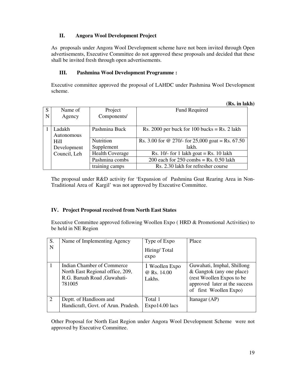### **II. Angora Wool Development Project**

As proposals under Angora Wool Development scheme have not been invited through Open advertisements, Executive Committee do not approved these proposals and decided that these shall be invited fresh through open advertisements.

#### **III. Pashmina Wool Development Programme :**

Executive committee approved the proposal of LAHDC under Pashmina Wool Development scheme.

|   |              |                        | (Rs. in lakh)                                    |
|---|--------------|------------------------|--------------------------------------------------|
| S | Name of      | Project                | <b>Fund Required</b>                             |
| N | Agency       | Components/            |                                                  |
|   |              |                        |                                                  |
|   | Ladakh       | Pashmina Buck          | Rs. 2000 per buck for 100 bucks = Rs. 2 lakh     |
|   | Autonomous   |                        |                                                  |
|   | Hill         | Nutrition              | Rs. 3.00 for @ 270/- for 25,000 goat = Rs. 67.50 |
|   | Development  | Supplement             | lakh.                                            |
|   | Council, Leh | <b>Health Coverage</b> | Rs. $10/-$ for 1 lakh goat = Rs. 10 lakh         |
|   |              | Pashmina combs         | 200 each for $250$ combs = Rs. 0.50 lakh         |
|   |              | training camps         | Rs. 2.30 lakh for refresher course               |

The proposal under R&D activity for 'Expansion of Pashmina Goat Rearing Area in Non-Traditional Area of Kargil' was not approved by Executive Committee.

#### **IV. Project Proposal received from North East States**

Executive Committee approved following Woollen Expo ( HRD & Promotional Activities) to be held in NE Region

| S.<br>N        | Name of Implementing Agency                                                                              | Type of Expo<br>Hiring/Total<br>expo    | Place                                                                                                                                           |
|----------------|----------------------------------------------------------------------------------------------------------|-----------------------------------------|-------------------------------------------------------------------------------------------------------------------------------------------------|
|                | Indian Chamber of Commerce<br>North East Regional office, 209,<br>R.G. Baruah Road , Guwahati-<br>781005 | 1 Woollen Expo<br>@ Rs. 14.00<br>Lakhs. | Guwahati, Imphal, Shillong<br>& Gangtok (any one place)<br>(rest Woollen Expos to be<br>approved later at the success<br>of first Woollen Expo) |
| $\overline{2}$ | Deptt. of Handloom and<br>Handicraft, Govt. of Arun. Pradesh.                                            | Total 1<br>$Expo14.00$ lacs             | Itanagar (AP)                                                                                                                                   |

Other Proposal for North East Region under Angora Wool Development Scheme were not approved by Executive Committee.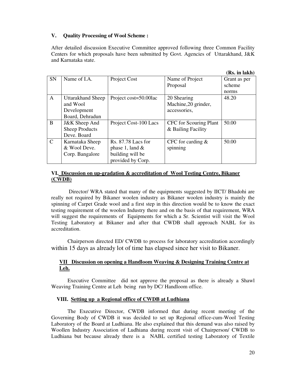#### **V. Quality Processing of Wool Scheme :**

After detailed discussion Executive Committee approved following three Common Facility Centers for which proposals have been submitted by Govt. Agencies of Uttarakhand, J&K and Karnataka state.

|               |                       |                       |                               | (RS. In Iakh |
|---------------|-----------------------|-----------------------|-------------------------------|--------------|
| <b>SN</b>     | Name of I.A.          | Project Cost          | Name of Project               | Grant as per |
|               |                       |                       | Proposal                      | scheme       |
|               |                       |                       |                               | norms        |
| A             | Uttarakhand Sheep     | Project cost=50.00lac | 20 Shearing                   | 48.20        |
|               | and Wool              |                       | Machine, 20 grinder,          |              |
|               | Development           |                       | accessories,                  |              |
|               | Board, Dehradun       |                       |                               |              |
| B             | J&K Sheep And         | Project Cost-100 Lacs | <b>CFC</b> for Scouring Plant | 50.00        |
|               | <b>Sheep Products</b> |                       | & Bailing Facility            |              |
|               | Deve. Board           |                       |                               |              |
| $\mathcal{C}$ | Karnataka Sheep       | $Rs. 87.78$ Lacs for  | CFC for carding $&$           | 50.00        |
|               | & Wool Deve.          | phase 1, land $&$     | spinning                      |              |
|               | Corp. Bangalore       | building will be      |                               |              |
|               |                       | provided by Corp.     |                               |              |

#### **VI. Discussion on up-gradation & accreditation of Wool Testing Centre, Bikaner (CWDB)**

 Director/ WRA stated that many of the equipments suggested by IICT/ Bhadohi are really not required by Bikaner woolen industry as Bikaner woolen industry is mainly the spinning of Carpet Grade wool and a first step in this direction would be to know the exact testing requirement of the woolen Industry there and on the basis of that requirement, WRA will suggest the requirements of Equipments for which a Sr. Scientist will visit the Wool Testing Laboratory at Bikaner and after that CWDB shall approach NABL for its accreditation.

Chairperson directed ED/ CWDB to process for laboratory accreditation accordingly within 15 days as already lot of time has elapsed since her visit to Bikaner.

#### **VII Discussion on opening a Handloom Weaving & Designing Training Centre at Leh.**

Executive Committee did not approve the proposal as there is already a Shawl Weaving Training Centre at Leh being run by DC/ Handloom office.

#### **VIII. Setting up a Regional office of CWDB at Ludhiana**

The Executive Director, CWDB informed that during recent meeting of the Governing Body of CWDB it was decided to set up Regional office-cum-Wool Testing Laboratory of the Board at Ludhiana. He also explained that this demand was also raised by Woollen Industry Association of Ludhiana during recent visit of Chairperson/ CWDB to Ludhiana but because already there is a NABL certified testing Laboratory of Textile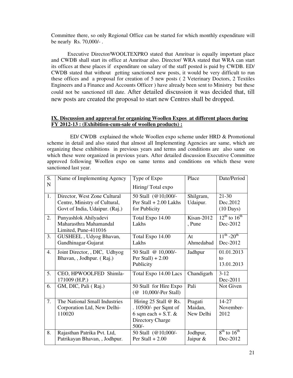Committee there, so only Regional Office can be started for which monthly expenditure will be nearly Rs. 70,000/- .

Executive Director/WOOLTEXPRO stated that Amritsar is equally important place and CWDB shall start its office at Amritsar also. Director/ WRA stated that WRA can start its offices at these places if expenditure on salary of the staff posted is paid by CWDB. ED/ CWDB stated that without getting sanctioned new posts, it would be very difficult to run these offices and a proposal for creation of 5 new posts ( 2 Veterinary Doctors, 2 Textiles Engineers and a Finance and Accounts Officer ) have already been sent to Ministry but these could not be sanctioned till date. After detailed discussion it was decided that, till new posts are created the proposal to start new Centres shall be dropped.

#### **IX. Discussion and approval for organizing Woollen Expos at different places during FY 2012-13 : (Exhibition-cum-sale of woollen products) :**

 ED/ CWDB explained the whole Woollen expo scheme under HRD & Promotional scheme in detail and also stated that almost all Implementing Agencies are same, which are organizing these exhibitions in previous years and terms and conditions are also same on which these were organized in previous years. After detailed discussion Executive Committee approved following Woollen expo on same terms and conditions on which these were sanctioned last year.

| S.<br>Name of Implementing Agency<br>Place<br>Type of Expo              | Date/Period                 |
|-------------------------------------------------------------------------|-----------------------------|
| N<br>Hiring/Total expo                                                  |                             |
| 1.<br>Shilgram,<br>Director, West Zone Cultural<br>50 Stall (@10,000/-  | $21 - 30$                   |
| Centre, Ministry of Cultural,<br>Per Stall $+ 2.00$ Lakhs<br>Udaipur.   | Dec.2012                    |
| Govt of India, Udaipur. (Raj.)<br>for Publicity                         | $(10 \text{ Days})$         |
| Kisan-2012<br>2.<br>Punyashlok Ahilyadevi<br>Total Expo 14.00           | $12^{th}$ to $16^{th}$      |
| Maharasthra Mahamandal<br>Lakhs<br>, Pune                               | Dec-2012                    |
| Limited, Pune-411016                                                    |                             |
| 3.<br>GUSHEEL, Udyog Bhavan,<br>Total Expo 14.00<br>At                  | $11^{th}$ -20 <sup>th</sup> |
| Gandhinagar-Gujarat<br>Lakhs<br>Ahmedabad                               | Dec-2012                    |
| Joint Director, , DIC, Udhyog<br>4.<br>50 Stall @ 10,000/-<br>Jadhpur   | 01.01.2013                  |
| Bhavan, , Jodhpur. (Raj.)<br>Per Stall $) + 2.00$                       | to                          |
| Publicity                                                               | 13.01.2013                  |
| 5.<br>Chandigarh<br>CEO, HPWOOLFED Shimla-<br>Total Expo 14.00 Lacs     | $3-12$                      |
| 171009 (H.P.)                                                           | Dec-2011                    |
| Pali<br>6.<br>GM, DIC, Pali (Raj.)<br>50 Stall for Hire Expo            | Not Given                   |
| (@ 10,000/-Per Stall)                                                   |                             |
| 7.<br>The National Small Industries<br>Hiring 25 Stall @ Rs.<br>Pragati | 14-27                       |
| . 10500/- per Sqmt of<br>Maidan,<br>Corporation Ltd, New Delhi-         | November-                   |
| 6 sqm each + S.T. $\&$<br>110020<br>New Delhi                           | 2012                        |
| Directory Charge                                                        |                             |
|                                                                         |                             |
| $500/-$                                                                 |                             |
| 8.<br>Rajasthan Patrika Pvt. Ltd,<br>50 Stall (@10,000/-<br>Jodhpur,    | $8th$ to $16th$             |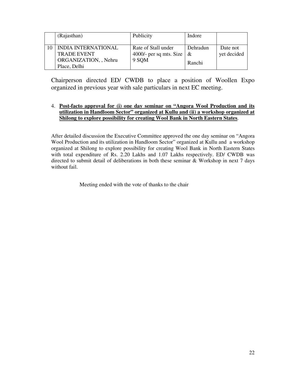| (Rajasthan)                                                                               | Publicity                                               | Indore                  |                         |
|-------------------------------------------------------------------------------------------|---------------------------------------------------------|-------------------------|-------------------------|
| <b>INDIA INTERNATIONAL</b><br><b>TRADE EVENT</b><br>ORGANIZATION, , Nehru<br>Place, Delhi | Rate of Stall under<br>4000/- per sq mts. Size<br>9 SQM | Dehradun<br>&<br>Ranchi | Date not<br>yet decided |

Chairperson directed ED/ CWDB to place a position of Woollen Expo organized in previous year with sale particulars in next EC meeting.

### 4. **Post-facto approval for (i) one day seminar on "Angora Wool Production and its utilization in Handloom Sector" organized at Kullu and (ii) a workshop organized at Shilong to explore possibility for creating Wool Bank in North Eastern States**.

After detailed discussion the Executive Committee approved the one day seminar on "Angora Wool Production and its utilization in Handloom Sector" organized at Kullu and a workshop organized at Shilong to explore possibility for creating Wool Bank in North Eastern States with total expenditure of Rs. 2.20 Lakhs and 1.07 Lakhs respectively. ED/ CWDB was directed to submit detail of deliberations in both these seminar & Workshop in next 7 days without fail.

Meeting ended with the vote of thanks to the chair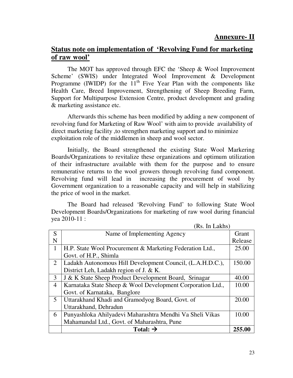# **Status note on implementation of 'Revolving Fund for marketing of raw wool'**

 The MOT has approved through EFC the 'Sheep & Wool Improvement Scheme' (SWIS) under Integrated Wool Improvement & Development Programme (IWIDP) for the  $11<sup>th</sup>$  Five Year Plan with the components like Health Care, Breed Improvement, Strengthening of Sheep Breeding Farm, Support for Multipurpose Extension Centre, product development and grading & marketing assistance etc.

 Afterwards this scheme has been modified by adding a new component of revolving fund for Marketing of Raw Wool' with aim to provide availability of direct marketing facility ,to strengthen marketing support and to minimize exploitation role of the middlemen in sheep and wool sector.

 Initially, the Board strengthened the existing State Wool Markering Boards/Organizations to revitalize these organizations and optimum utilization of their infrastructure available with them for the purpose and to ensure remunerative returns to the wool growers through revolving fund component. Revolving fund will lead in increasing the procurement of wool by Government organization to a reasonable capacity and will help in stabilizing the price of wool in the market.

 The Board had released 'Revolving Fund' to following State Wool Development Boards/Organizations for marketing of raw wool during financial yea 2010-11 :

|                | нлэ. ні памір                                              |         |
|----------------|------------------------------------------------------------|---------|
| S              | Name of Implementing Agency                                | Grant   |
| N              |                                                            | Release |
| $\mathbf{1}$   | H.P. State Wool Procurement & Marketing Federation Ltd.,   | 25.00   |
|                | Govt. of H.P., Shimla                                      |         |
| 2              | Ladakh Autonomous Hill Development Council, (L.A.H.D.C.),  | 150.00  |
|                | District Leh, Ladakh region of J. & K.                     |         |
| 3              | J & K State Sheep Product Development Board, Srinagar      | 40.00   |
| $\overline{4}$ | Karnataka State Sheep & Wool Development Corporation Ltd., | 10.00   |
|                | Govt. of Karnataka, Banglore                               |         |
| 5              | Uttarakhand Khadi and Gramodyog Board, Govt. of            | 20.00   |
|                | Uttarakhand, Dehradun                                      |         |
| 6              | Punyashloka Ahilyadevi Maharashtra Mendhi Va Sheli Vikas   | 10.00   |
|                | Mahamandal Ltd., Govt. of Maharashtra, Pune                |         |
|                | Total: $\rightarrow$                                       | 255.00  |

 $(P_s$ . In Lakhe)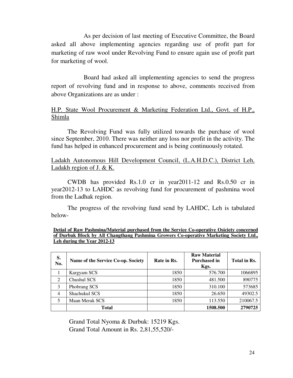As per decision of last meeting of Executive Committee, the Board asked all above implementing agencies regarding use of profit part for marketing of raw wool under Revolving Fund to ensure again use of profit part for marketing of wool.

 Board had asked all implementing agencies to send the progress report of revolving fund and in response to above, comments received from above Organizations are as under :

## H.P. State Wool Procurement & Marketing Federation Ltd., Govt. of H.P., Shimla

The Revolving Fund was fully utilized towards the purchase of wool since September, 2010. There was neither any loss nor profit in the activity. The fund has helped in enhanced procurement and is being continuously rotated.

## Ladakh Autonomous Hill Development Council, (L.A.H.D.C.), District Leh, Ladakh region of J. & K.

CWDB has provided Rs.1.0 cr in year2011-12 and Rs.0.50 cr in year2012-13 to LAHDC as revolving fund for procurement of pashmina wool from the Ladhak region.

The progress of the revolving fund send by LAHDC, Leh is tabulated below-

| Detial of Raw Pashmina/Material purchased from the Service Co-operative Osiciety concerned |  |  |
|--------------------------------------------------------------------------------------------|--|--|
| of Durbuk Block by All Changthang Pashmina Growers Co-operative Marketing Society Ltd      |  |  |
| Leh during the Year 2012-13                                                                |  |  |

| S.<br>No.      | Name of the Service Co-op. Society | Rate in Rs. | <b>Raw Material</b><br><b>Purchased in</b><br>Kgs. | Total in Rs. |
|----------------|------------------------------------|-------------|----------------------------------------------------|--------------|
|                | Kargyam SCS                        | 1850        | 576.700                                            | 1066895      |
| 2              | Chushul SCS                        | 1850        | 481.500                                            | 890775       |
| 3              | Phobrang SCS                       | 1850        | 310.100                                            | 573685       |
| $\overline{4}$ | Shachukul SCS                      | 1850        | 26.650                                             | 49302.5      |
| 5              | Maan Merak SCS                     | 1850        | 113.550                                            | 210067.5     |
|                | <b>Total</b>                       |             | 1508.500                                           | 2790725      |

Grand Total Nyoma & Durbuk: 15219 Kgs. Grand Total Amount in Rs. 2,81,55,520/-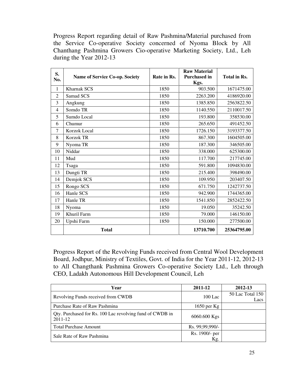Progress Report regarding detail of Raw Pashmina/Material purchased from the Service Co-operative Society concerned of Nyoma Block by All Chanthang Pashmina Growers Cio-operative Marketing Society, Ltd., Leh during the Year 2012-13

| S.             |                                       |             | <b>Raw Material</b> |              |
|----------------|---------------------------------------|-------------|---------------------|--------------|
| No.            | <b>Name of Service Co-op. Society</b> | Rate in Rs. | <b>Purchased in</b> | Total in Rs. |
|                |                                       |             | Kgs.                |              |
| $\mathbf{1}$   | <b>Kharnak SCS</b>                    | 1850        | 903.500             | 1671475.00   |
| 2              | Samad SCS                             | 1850        | 2263.200            | 4186920.00   |
| 3              | Angkung                               | 1850        | 1385.850            | 2563822.50   |
| $\overline{4}$ | Somdo TR                              | 1850        | 1140.550            | 2110017.50   |
| 5              | Sumdo Local                           | 1850        | 193.800             | 358530.00    |
| 6              | Chumur                                | 1850        | 265.650             | 491452.50    |
| $\tau$         | <b>Korzok Local</b>                   | 1850        | 1726.150            | 3193377.50   |
| 8              | <b>Korzok TR</b>                      | 1850        | 867.300             | 1604505.00   |
| 9              | Nyoma TR                              | 1850        | 187.300             | 346505.00    |
| 10             | Niddar                                | 1850        | 338.000             | 625300.00    |
| 11             | Mud                                   | 1850        | 117.700             | 217745.00    |
| 12             | Tsaga                                 | 1850        | 591.800             | 1094830.00   |
| 13             | Dungti TR                             | 1850        | 215.400             | 398490.00    |
| 14             | Demjok SCS                            | 1850        | 109.950             | 203407.50    |
| 15             | Rongo SCS                             | 1850        | 671.750             | 1242737.50   |
| 16             | Hanle SCS                             | 1850        | 942.900             | 1744365.00   |
| 17             | Hanle TR                              | 1850        | 1541.850            | 2852422.50   |
| 18             | Nyoma                                 | 1850        | 19.050              | 35242.50     |
| 19             | Khuril Farm                           | 1850        | 79.000              | 146150.00    |
| 20             | Upshi Farm                            | 1850        | 150.000             | 277500.00    |
|                | <b>Total</b>                          |             | 13710.700           | 25364795.00  |

Progress Report of the Revolving Funds received from Central Wool Development Board, Jodhpur, Ministry of Textiles, Govt. of India for the Year 2011-12, 2012-13 to All Changthank Pashmina Growers Co-operative Society Ltd., Leh through CEO, Ladakh Autonomous Hill Development Council, Leh

| Year                                                                    | 2011-12               | 2012-13                  |
|-------------------------------------------------------------------------|-----------------------|--------------------------|
| Revolving Funds received from CWDB                                      | $100$ Lac             | 50 Lac Total 150<br>Lacs |
| Purchase Rate of Raw Pashmina                                           | 1650 per $Kg$         |                          |
| Qty. Purchased for Rs. 100 Lac revolving fund of CWDB in<br>$2011 - 12$ | 6060.600 Kgs          |                          |
| <b>Total Purchase Amount</b>                                            | Rs. 99,99,990/-       |                          |
| Sale Rate of Raw Pashmina                                               | Rs. 1900/- per<br>Kg. |                          |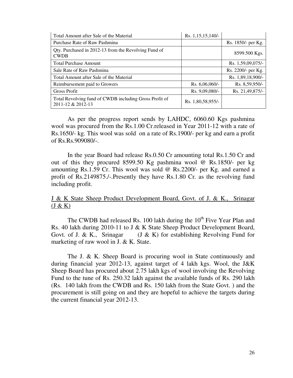| Total Amount after Sale of the Material                                     | Rs. 1,15,15,140/- |                    |
|-----------------------------------------------------------------------------|-------------------|--------------------|
| Purchase Rate of Raw Pashmina                                               |                   | Rs. 1850/- per Kg. |
| Qty. Purchased in 2012-13 from the Revolving Fund of<br><b>CWDB</b>         |                   | 8599.500 Kgs.      |
| <b>Total Purchase Amount</b>                                                |                   | Rs. 1,59,09,075/-  |
| Sale Rate of Raw Pashmina                                                   |                   | Rs. 2200/- per Kg. |
| Total Amount after Sale of the Material                                     |                   | Rs. 1,89,18,900/-  |
| Reimbursement paid to Growers                                               | Rs. $6,06,060/-$  | Rs. 8,59,950/-     |
| Gross Profit                                                                | Rs. 9,09,080/-    | Rs. 21,49,875/-    |
| Total Revolving fund of CWDB including Gross Profit of<br>2011-12 & 2012-13 | Rs. 1,80,58,955/- |                    |

As per the progress report sends by LAHDC, 6060.60 Kgs pashmina wool was procured from the Rs.1.00 Cr.released in Year 2011-12 with a rate of Rs.1650/- kg. This wool was sold on a rate of Rs.1900/- per kg and earn a profit of Rs.Rs.909080/-.

In the year Board had release Rs.0.50 Cr amounting total Rs.1.50 Cr and out of this they procured 8599.50 Kg pashmina wool @ Rs.1850/- per kg amounting Rs.1.59 Cr. This wool was sold @ Rs.2200/- per Kg. and earned a profit of Rs.2149875./-.Presently they have Rs.1.80 Cr. as the revolving fund including profit.

J & K State Sheep Product Development Board, Govt. of J. & K., Srinagar  $(J & K)$ 

The CWDB had released Rs. 100 lakh during the 10<sup>th</sup> Five Year Plan and Rs. 40 lakh during 2010-11 to J & K State Sheep Product Development Board, Govt. of J. & K., Srinagar (J & K) for establishing Revolving Fund for marketing of raw wool in J. & K. State.

 The J. & K. Sheep Board is procuring wool in State continuously and during financial year 2012-13, against target of 4 lakh kgs. Wool, the J&K Sheep Board has procured about 2.75 lakh kgs of wool involving the Revolving Fund to the tune of Rs. 250.32 lakh against the available funds of Rs. 290 lakh (Rs. 140 lakh from the CWDB and Rs. 150 lakh from the State Govt. ) and the procurement is still going on and they are hopeful to achieve the targets during the current financial year 2012-13.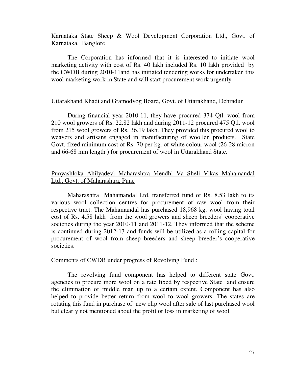## Karnataka State Sheep & Wool Development Corporation Ltd., Govt. of Karnataka, Banglore

 The Corporation has informed that it is interested to initiate wool marketing activity with cost of Rs. 40 lakh included Rs. 10 lakh provided by the CWDB during 2010-11and has initiated tendering works for undertaken this wool marketing work in State and will start procurement work urgently.

## Uttarakhand Khadi and Gramodyog Board, Govt. of Uttarakhand, Dehradun

 During financial year 2010-11, they have procured 374 Qtl. wool from 210 wool growers of Rs. 22.82 lakh and during 2011-12 procured 475 Qtl. wool from 215 wool growers of Rs. 36.19 lakh. They provided this procured wool to weavers and artisans engaged in manufacturing of woollen products. State Govt. fixed minimum cost of Rs. 70 per kg. of white colour wool (26-28 micron and 66-68 mm length ) for procurement of wool in Uttarakhand State.

## Punyashloka Ahilyadevi Maharashtra Mendhi Va Sheli Vikas Mahamandal Ltd., Govt. of Maharashtra, Pune

 Maharashtra Mahamandal Ltd. transferred fund of Rs. 8.53 lakh to its various wool collection centres for procurement of raw wool from their respective tract. The Mahamandal has purchased 18,968 kg. wool having total cost of Rs. 4.58 lakh from the wool growers and sheep breeders' cooperative societies during the year 2010-11 and 2011-12. They informed that the scheme is continued during 2012-13 and funds will be utilized as a rolling capital for procurement of wool from sheep breeders and sheep breeder's cooperative societies.

### Comments of CWDB under progress of Revolving Fund :

 The revolving fund component has helped to different state Govt. agencies to procure more wool on a rate fixed by respective State and ensure the elimination of middle man up to a certain extent. Component has also helped to provide better return from wool to wool growers. The states are rotating this fund in purchase of new clip wool after sale of last purchased wool but clearly not mentioned about the profit or loss in marketing of wool.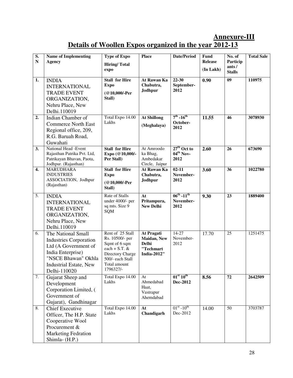# **Annexure-III Details of Woollen Expos organized in the year 2012-13**

| S.<br>${\bf N}$  | <b>Name of Implementing</b>                                                                                                                                              | <b>Type of Expo</b>                                                                                                                          | Place                                                                        | <b>Date/Period</b>                                    | <b>Fund</b><br><b>Release</b> | No. of                             | <b>Total Sale</b> |
|------------------|--------------------------------------------------------------------------------------------------------------------------------------------------------------------------|----------------------------------------------------------------------------------------------------------------------------------------------|------------------------------------------------------------------------------|-------------------------------------------------------|-------------------------------|------------------------------------|-------------------|
|                  | <b>Agency</b>                                                                                                                                                            | <b>Hiring/Total</b><br>expo                                                                                                                  |                                                                              |                                                       |                               | Particip<br>ants/<br><b>Stalls</b> |                   |
| 1.               | <b>INDIA</b><br><b>INTERNATIONAL</b><br><b>TRADE EVENT</b><br>ORGANIZATION,<br>Nehru Place, New<br>Delhi.110019                                                          | <b>Stall for Hire</b><br><b>Expo</b><br>(@10,000/-Per<br>Stall)                                                                              | At Rawan Ka<br>Chabutra,<br>Jodhpur                                          | $22 - 30$<br>September-<br>2012                       | 0.90                          | 09                                 | 110975            |
| 2.               | Indian Chamber of<br><b>Commerce North East</b><br>Regional office, 209,<br>R.G. Baruah Road,<br>Guwahati                                                                | Total Expo 14.00<br>Lakhs                                                                                                                    | <b>At Shillong</b><br>(Meghalaya)                                            | $7^{\text{th}}$ -16 <sup>th</sup><br>October-<br>2012 | 11.55                         | 46                                 | 3078930           |
| 3.               | National Head -Event<br>Rajasthan Patrika Pvt. Ltd,<br>Patrikayan Bhavan, Paota,<br>Jodhpur. (Rajasthan)                                                                 | <b>Stall for Hire</b><br>Expo (@10,000/-<br>Per Stall)                                                                                       | At Amroodo<br>ka Bhag,<br>Ambedakar<br>Circle, Jaipur                        | $27th$ Oct to<br>$04^{th}$ Nov-<br>2012               | 2.60                          | 26                                 | 673690            |
| $\overline{4}$ . | <b>MARUDHARA</b><br><b>INDUSTRIES</b><br>ASSOCIATION, Jodhpur<br>(Rajasthan)                                                                                             | <b>Stall for Hire</b><br><b>Expo</b><br>(@10,000/-Per<br>Stall)                                                                              | At Rawan Ka<br>Chabutra,<br>Jodhpur                                          | $02 - 11$<br>November-<br>2012                        | 3.60                          | 36                                 | 1022780           |
| 5.               | <b>INDIA</b><br><b>INTERNATIONAL</b><br><b>TRADE EVENT</b><br>ORGANIZATION,<br>Nehru Place, New<br>Delhi.110019                                                          | Rate of Stalls<br>under 4000/- per<br>sq mts. Size 9<br><b>SQM</b>                                                                           | At<br>Pritampura,<br><b>New Delhi</b>                                        | $06^{th} - 11^{th}$<br>November-<br>2012              | 9.30                          | 23                                 | 1889400           |
| 6.               | The National Small<br><b>Industries Corporation</b><br>Ltd (A Government of<br>India Enterprise)<br>"NSCE Bhawan" Okhla<br><b>Industrial Estate, New</b><br>Delhi-110020 | Rent of 25 Stall<br>Rs. 10500/- per<br>Sqmt of 6 sqm<br>each + S.T. $&$<br>Directory Charge<br>500/- each Stall<br>Total amount<br>1796327/- | At Pragati<br>Maidan, New<br><b>Delhi</b><br>"Techmart<br><b>India-2012"</b> | $14 - 27$<br>November-<br>2012                        | 17.70                         | 25                                 | 1251475           |
| 7.               | Gujarat Sheep and<br>Development<br>Corporation Limited, (<br>Government of<br>Gujarat), Gandhinagar                                                                     | Total Expo 14.00<br>Lakhs                                                                                                                    | At<br>Ahmedabad<br>Haat,<br>Vastrapur<br>Ahemdabad                           | 01 <sup>st</sup> 10 <sup>th</sup><br><b>Dec-2012</b>  | 8.56                          | 72                                 | 2642509           |
| 8.               | <b>Chief Executive</b><br>Officer, The H.P. State<br>Cooperative Wool<br>Procurement &<br><b>Marketing Fedration</b><br>Shimla- (H.P.)                                   | Total Expo 14.00<br>Lakhs                                                                                                                    | At<br>Chandigarh                                                             | $01^{\rm st}$ - $10^{\rm th}$<br>Dec-2012             | 14.00                         | $\overline{50}$                    | 3703787           |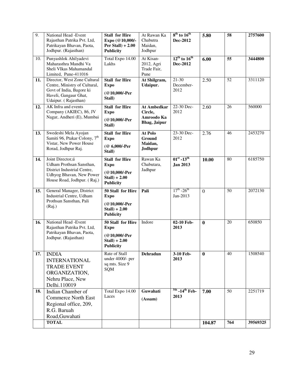| 9.  | National Head -Event<br>Rajasthan Patrika Pvt. Ltd,<br>Patrikayan Bhavan, Paota,<br>Jodhpur. (Rajasthan)                                   | <b>Stall for Hire</b><br>Expo (@10,000/-<br>Per Stall $) + 2.00$<br><b>Publicity</b>          | At Rawan Ka<br>Chabutra<br>Maidan,<br>Jodhpur               | $8th$ to $16th$<br>Dec-2012             | 5.80           | 58  | 2757600  |
|-----|--------------------------------------------------------------------------------------------------------------------------------------------|-----------------------------------------------------------------------------------------------|-------------------------------------------------------------|-----------------------------------------|----------------|-----|----------|
| 10. | Punyashlok Ahilyadevi<br>Maharasthra Mandhi Va<br>Sheli VIkas Mahamandal<br>Limited, Pune-411016                                           | Total Expo 14.00<br>Lakhs                                                                     | At Kisan-<br>2012, Agri<br>Trade Fair,<br>Pune              | $12th$ to $16th$<br>Dec-2012            | 6.00           | 55  | 3444800  |
| 11. | Director, West Zone Cultural<br>Centre, Ministry of Cultural,<br>Govt of India, Bagore ki<br>Haveli, Gangaur Ghat,<br>Udaipur. (Rajasthan) | <b>Stall for Hire</b><br><b>Expo</b><br>(@10,000/-Per<br>Stall)                               | At Shilgram,<br>Udaipur.                                    | $21 - 30$<br>December-<br>2012          | 2.50           | 52  | 3311120  |
| 12. | AK Infra and events<br>Company (AKIEC), 86, JV<br>Nagar, Andheri (E), Mumbai                                                               | <b>Stall for Hire</b><br><b>Expo</b><br>(@10,000/-Per<br>Stall)                               | At Ambedkar<br>Circle,<br>Amroodo Ka<br><b>Bhag, Jaipur</b> | 22-30 Dec-<br>2012                      | 2.60           | 26  | 560000   |
| 13. | Swedeshi Mela Ayojan<br>Samiti 96, Ptakar Colony, 7 <sup>th</sup><br>Vistar, New Power House<br>Rorad, Jodhpur Raj.                        | <b>Stall for Hire</b><br><b>Expo</b><br>(@ 6,000/-Per<br>Stall)                               | At Polo<br>Ground<br>Maidan,<br>Jodhpur                     | 23-30 Dec-<br>2012                      | 2.76           | 46  | 2453270  |
| 14. | Joint Director, ú<br>Udham Prothsan Sansthan,<br>District Industrial Centre,<br>Udhyog Bhavan, New Power<br>House Road, Jodhpur. (Raj.)    | <b>Stall for Hire</b><br><b>Expo</b><br>(@10,000/-Per<br>$Stall$ ) + 2.00<br><b>Publicity</b> | Rawan Ka<br>Chabutara,<br>Jadhpur                           | $01^{st} - 13^{th}$<br><b>Jan 2013</b>  | 10.00          | 80  | 6185750  |
| 15. | General Manager, District<br>Industrial Centre, Udham<br>Prothsan Sansthan, Pali<br>(Raj.)                                                 | 50 Stall for Hire<br><b>Expo</b><br>(@10,000/-Per<br>$Stall$ ) + 2.00<br><b>Publicity</b>     | Pali                                                        | $17^{th}$ -26 <sup>th</sup><br>Jan-2013 | $\overline{0}$ | 50  | 2072130  |
| 16. | National Head -Event<br>Rajasthan Patrika Pvt. Ltd,<br>Patrikayan Bhavan, Paota,<br>Jodhpur. (Rajasthan)                                   | 50 Stall for Hire<br><b>Expo</b><br>(@10,000/-Per<br>$Stall$ ) + 2.00<br><b>Publicity</b>     | Indore                                                      | 02-10 Feb-<br>2013                      | $\bf{0}$       | 20  | 650850   |
| 17. | <b>INDIA</b><br><b>INTERNATIONAL</b><br><b>TRADE EVENT</b><br>ORGANIZATION,<br>Nehru Place, New<br>Delhi.110019                            | Rate of Stall<br>under 4000/- per<br>sq mts. Size 9<br><b>SQM</b>                             | <b>Dehradun</b>                                             | 3-10 Feb-<br>2013                       | $\bf{0}$       | 40  | 1508540  |
| 18. | Indian Chamber of<br><b>Commerce North East</b><br>Regional office, 209,<br>R.G. Baruah<br>Road, Guwahati                                  | Total Expo 14.00<br>Laces                                                                     | Guwahati<br>(Assam)                                         | $5th$ -14 <sup>th</sup> Feb-<br>2013    | 7.00           | 50  | 2251719  |
|     | <b>TOTAL</b>                                                                                                                               |                                                                                               |                                                             |                                         | 104.87         | 764 | 39569325 |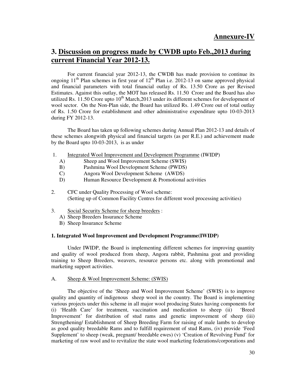# **3. Discussion on progress made by CWDB upto Feb.,2013 during current Financial Year 2012-13.**

 For current financial year 2012-13, the CWDB has made provision to continue its ongoing  $11<sup>th</sup>$  Plan schemes in first year of  $12<sup>th</sup>$  Plan i.e. 2012-13 on same approved physical and financial parameters with total financial outlay of Rs. 13.50 Crore as per Revised Estimates. Against this outlay, the MOT has released Rs. 11.50 Crore and the Board has also utilized Rs. 11.50 Crore upto  $10^{th}$  March, 2013 under its different schemes for development of wool sector. On the Non-Plan side, the Board has utilized Rs. 1.49 Crore out of total outlay of Rs. 1.50 Crore for establishment and other administrative expenditure upto 10-03-2013 during FY 2012-13.

The Board has taken up following schemes during Annual Plan 2012-13 and details of these schemes alongwith physical and financial targets (as per R.E.) and achievement made by the Board upto 10-03-2013, is as under

- 1. Integrated Wool Improvement and Development Programme (IWIDP)
	- A) Sheep and Wool Improvement Scheme (SWIS)
	- B) Pashmina Wool Development Scheme (PWDS)
	- C) Angora Wool Development Scheme (AWDS)
	- D) Human Resource Development & Promotional activities
- 2. CFC under Quality Processing of Wool scheme: (Setting up of Common Facility Centres for different wool processing activities)
- 3. Social Security Scheme for sheep breeders :
	- A) Sheep Breeders Insurance Scheme
	- B) Sheep Insurance Scheme

#### **1. Integrated Wool Improvement and Development Programme(IWIDP)**

 Under IWIDP, the Board is implementing different schemes for improving quantity and quality of wool produced from sheep, Angora rabbit, Pashmina goat and providing training to Sheep Breeders, weavers, resource persons etc. along with promotional and marketing support activities.

#### A. Sheep & Wool Improvement Scheme: (SWIS)

 The objective of the 'Sheep and Wool Improvement Scheme' (SWIS) is to improve quality and quantity of indigenous sheep wool in the country. The Board is implementing various projects under this scheme in all major wool producing States having components for (i) 'Health Care' for treatment, vaccination and medication to sheep (ii) 'Breed Improvement' for distribution of stud rams and genetic improvement of sheep (iii) Strengthening/ Establishment of Sheep Breeding Farm for raising of male lambs to develop as good quality breedable Rams and to fulfill requirement of stud Rams, (iv) provide 'Feed Supplement' to sheep (weak, pregnant/ breedable ewes) (v) 'Creation of Revolving Fund' for marketing of raw wool and to revitalize the state wool marketing federations/corporations and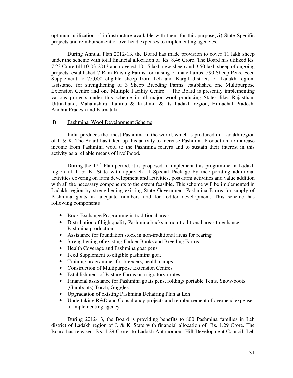optimum utilization of infrastructure available with them for this purpose(vi) State Specific projects and reimbursement of overhead expenses to implementing agencies.

 During Annual Plan 2012-13, the Board has made provision to cover 11 lakh sheep under the scheme with total financial allocation of Rs. 8.46 Crore. The Board has utilized Rs. 7.23 Crore till 10-03-2013 and covered 10.15 lakh new sheep and 3.50 lakh sheep of ongoing projects, established 7 Ram Raising Farms for raising of male lambs, 590 Sheep Pens, Feed Supplement to 75,000 eligible sheep from Leh and Kargil districts of Ladakh region, assistance for strengthening of 3 Sheep Breeding Farms, established one Multipurpose Extension Centre and one Multiple Facility Centre. The Board is presently implementing various projects under this scheme in all major wool producing States like: Rajasthan, Uttrakhand, Maharashtra, Jammu & Kashmir & its Ladakh region, Himachal Pradesh, Andhra Pradesh and Karnataka.

#### B. Pashmina Wool Development Scheme:

 India produces the finest Pashmina in the world, which is produced in Ladakh region of J. & K. The Board has taken up this activity to increase Pashmina Production, to increase income from Pashmina wool to the Pashmina rearers and to sustain their interest in this activity as a reliable means of livelihood.

During the  $12<sup>th</sup>$  Plan period, it is proposed to implement this programme in Ladakh region of J. & K. State with approach of Special Package by incorporating additional activities covering on farm development and activities, post-farm activities and value addition with all the necessary components to the extent feasible. This scheme will be implemented in Ladakh region by strengthening existing State Government Pashmina Farms for supply of Pashmina goats in adequate numbers and for fodder development. This scheme has following components :

- Buck Exchange Programme in traditional areas
- Distribution of high quality Pashmina bucks in non-traditional areas to enhance Pashmina production
- Assistance for foundation stock in non-traditional areas for rearing
- Strengthening of existing Fodder Banks and Breeding Farms
- Health Coverage and Pashmina goat pens
- Feed Supplement to eligible pashmina goat
- Training programmes for breeders, health camps
- Construction of Multipurpose Extension Centres
- Establishment of Pasture Farms on migratory routes
- Financial assistance for Pashmina goats pens, folding/ portable Tents, Snow-boots (Gumboots),Torch, Goggles
- Upgradation of existing Pashmina Dehairing Plan at Leh
- Undertaking R&D and Consultancy projects and reimbursement of overhead expenses to implementing agency.

During 2012-13, the Board is providing benefits to 800 Pashmina families in Leh district of Ladakh region of J. & K. State with financial allocation of Rs. 1.29 Crore. The Board has released Rs. 1.29 Crore to Ladakh Autonomous Hill Development Council, Leh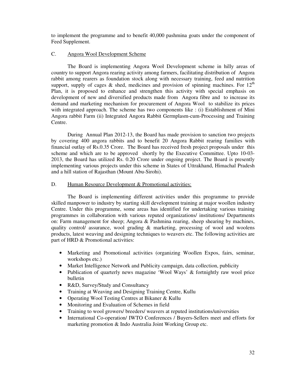to implement the programme and to benefit 40,000 pashmina goats under the component of Feed Supplement.

#### C. Angora Wool Development Scheme

 The Board is implementing Angora Wool Development scheme in hilly areas of country to support Angora rearing activity among farmers, facilitating distribution of Angora rabbit among rearers as foundation stock along with necessary training, feed and nutrition support, supply of cages & shed, medicines and provision of spinning machines. For  $12<sup>th</sup>$ Plan, it is proposed to enhance and strengthen this activity with special emphasis on development of new and diversified products made from Angora fibre and to increase its demand and marketing mechanism for procurement of Angora Wool to stabilize its prices with integrated approach. The scheme has two components like : (i) Establishment of Mini Angora rabbit Farm (ii) Integrated Angora Rabbit Germplasm-cum-Processing and Training Centre.

 During Annual Plan 2012-13, the Board has made provision to sanction two projects by covering 400 angora rabbits and to benefit 20 Angora Rabbit rearing families with financial outlay of Rs.0.35 Crore. The Board has received fresh project proposals under this scheme and which are to be approved shortly by the Executive Committee. Upto 10-03- 2013, the Board has utilized Rs. 0.20 Crore under ongoing project. The Board is presently implementing various projects under this scheme in States of Uttrakhand, Himachal Pradesh and a hill station of Rajasthan (Mount Abu-Sirohi).

#### D. Human Resource Development & Promotional activities:

 The Board is implementing different activities under this programme to provide skilled manpower to industry by starting skill development training at major woollen industry Centre. Under this programme, some areas has identified for undertaking various training programmes in collaboration with various reputed organizations/ institutions/ Departments on: Farm management for sheep; Angora & Pashmina rearing, sheep shearing by machines, quality control/ assurance, wool grading & marketing, processing of wool and woolens products, latest weaving and designing techniques to weavers etc. The following activities are part of HRD & Promotional activities:

- Marketing and Promotional activities (organizing Woollen Expos, fairs, seminar, workshops etc.)
- Market Intelligence Network and Publicity campaign, data collection, publicity
- Publication of quarterly news magazine 'Wool Ways' & fortnightly raw wool price bulletin
- R&D, Survey/Study and Consultancy
- Training at Weaving and Designing Training Centre, Kullu
- Operating Wool Testing Centres at Bikaner & Kullu
- Monitoring and Evaluation of Schemes in field
- Training to wool growers/ breeders/ weavers at reputed institutions/universities
- International Co-operation/ IWTO Conferences / Buyers-Sellers meet and efforts for marketing promotion & Indo Australia Joint Working Group etc.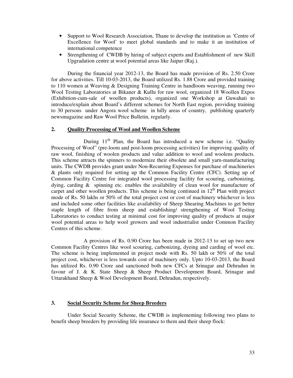- Support to Wool Research Association, Thane to develop the institution as 'Centre of Excellence for Wool' to meet global standards and to make it an institution of international competence
- Strengthening of CWDB by hiring of subject experts and Establishment of new Skill Upgradation centre at wool potential areas like Jaipur (Raj.).

During the financial year 2012-13, the Board has made provision of Rs. 2.50 Crore for above activities. Till 10-03-2013, the Board utilized Rs. 1.88 Crore and provided training to 110 women at Weaving & Designing Training Centre in handloom weaving, running two Wool Testing Laboratories at Bikaner & Kullu for raw wool, organized 18 Woollen Expos (Exhibition-cum-sale of woollen products), organized one Workshop at Guwahati to introduce/explain about Board's different schemes for North East region, providing training to 30 persons under Angora wool scheme in hilly areas of country, publishing quarterly newsmagazine and Raw Wool Price Bulletin, regularly.

#### **2. Quality Processing of Wool and Woollen Scheme**

During  $11<sup>th</sup>$  Plan, the Board has introduced a new scheme i.e. "Quality Processing of Wool" (pre-loom and post-loom processing activities) for improving quality of raw wool, finishing of woolen products and value addition to wool and woolens products. This scheme attracts the spinners to modernize their obsolete and small yarn-manufacturing units. The CWDB provides grant under Non-Recurring Expenses for purchase of machineries & plants only required for setting up the Common Facility Centre (CFC). Setting up of Common Facility Centre for integrated wool processing facility for scouring, carbonizing, dying, carding & spinning etc. enables the availability of clean wool for manufacture of carpet and other woollen products. This scheme is being continued in  $12<sup>th</sup>$  Plan with project mode of Rs. 50 lakhs or 50% of the total project cost or cost of machinery whichever is less and included some other facilities like availability of Sheep Shearing Machines to get better staple length of fibre from sheep and establishing/ strengthening of Wool Testing Laboratories to conduct testing at minimal cost for improving quality of products at major wool potential areas to help wool growers and wool industrialist under Common Facility Centres of this scheme.

 A provision of Rs. 0.90 Crore has been made in 2012-13 to set up two new Common Facility Centres like wool scouring, carbonizing, dyeing and carding of wool etc. The scheme is being implemented in project mode with Rs. 50 lakh or 50% of the total project cost, whichever is less towards cost of machinery only. Upto 10-03-2013, the Board has utilized Rs. 0.90 Crore and sanctioned both new CFCs at Srinagar and Dehradun in favour of J. & K. State Sheep & Sheep Product Development Board, Srinagar and Uttarakhand Sheep & Wool Development Board, Dehradun, respectively.

#### **3. Social Security Scheme for Sheep Breeders**

 Under Social Security Scheme, the CWDB is implementing following two plans to benefit sheep breeders by providing life insurance to them and their sheep flock: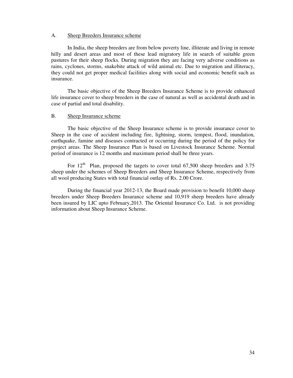#### A. Sheep Breeders Insurance scheme

 In India, the sheep breeders are from below poverty line, illiterate and living in remote hilly and desert areas and most of these lead migratory life in search of suitable green pastures for their sheep flocks. During migration they are facing very adverse conditions as rains, cyclones, storms, snakebite attack of wild animal etc. Due to migration and illiteracy, they could not get proper medical facilities along with social and economic benefit such as insurance.

 The basic objective of the Sheep Breeders Insurance Scheme is to provide enhanced life insurance cover to sheep breeders in the case of natural as well as accidental death and in case of partial and total disability.

#### B. Sheep Insurance scheme

 The basic objective of the Sheep Insurance scheme is to provide insurance cover to Sheep in the case of accident including fire, lightning, storm, tempest, flood, inundation, earthquake, famine and diseases contracted or occurring during the period of the policy for project areas. The Sheep Insurance Plan is based on Livestock Insurance Scheme. Normal period of insurance is 12 months and maximum period shall be three years.

For  $12<sup>th</sup>$  Plan, proposed the targets to cover total 67,500 sheep breeders and 3.75 sheep under the schemes of Sheep Breeders and Sheep Insurance Scheme, respectively from all wool producing States with total financial outlay of Rs. 2.00 Crore.

During the financial year 2012-13, the Board made provision to benefit 10,000 sheep breeders under Sheep Breeders Insurance scheme and 10,919 sheep breeders have already been insured by LIC upto February,2013. The Oriental Insurance Co. Ltd. is not providing information about Sheep Insurance Scheme.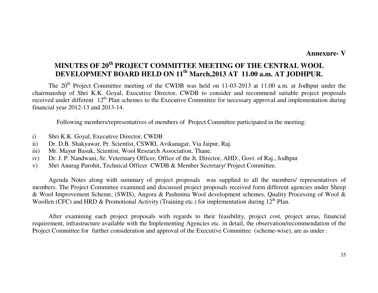## **Annexure- V**

# **MINUTES OF 20th PROJECT COMMITTEE MEETING OF THE CENTRAL WOOL DEVELOPMENT BOARD HELD ON 11th March,2013 AT 11.00 a.m. AT JODHPUR.**

The 20<sup>th</sup> Project Committee meeting of the CWDB was held on 11-03-2013 at 11.00 a.m. at Jodhpur under the chairmanship of Shri K.K. Goyal, Executive Director, CWDB to consider and recommend suitable project proposals received under different 12<sup>th</sup> Plan schemes to the Executive Committee for necessary approval and implementation during financial year 2012-13 and 2013-14.

Following members/representatives of members of Project Committee participated in the meeting:

- i) Shri K.K. Goyal, Executive Director, CWDB
- ii) Dr. D.B. Shakyawar, Pr. Scientist, CSWRI, Avikanagar, Via Jaipur, Raj.
- iii) Mr. Mayur Basuk, Scientist, Wool Research Association, Thane.
- iv) Dr. J. P. Nandwani, Sr. Veterinary Officer, Office of the Jt. Director, AHD., Govt. of Raj., Jodhpur
- v) Shri Anurag Purohit, Technical Officer CWDB & Member Secretary/ Project Committee.

 Agenda Notes along with summary of project proposals was supplied to all the members/ representatives of members. The Project Committee examined and discussed project proposals received form different agencies under Sheep & Wool Improvement Scheme, (SWIS), Angora & Pashmina Wool development schemes, Quality Processing of Wool & Woollen (CFC) and HRD & Promotional Activity (Training etc.) for implementation during  $12<sup>th</sup>$  Plan.

 After examining each project proposals with regards to their feasibility, project cost, project areas, financial requirement, infrastructure available with the Implementing Agencies etc. in detail, the observation/recommendation of the Project Committee for further consideration and approval of the Executive Committee (scheme-wise), are as under :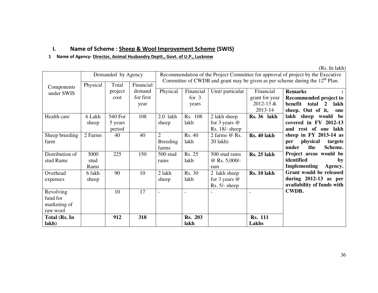## I. Name of Scheme : Sheep & Wool Improvement Scheme (SWIS)

### 1 Name of Agency- Director, Animal Husbandry Deptt., Govt. of U.P., Lucknow

|                 | Recommendation of the Project Committee for approval of project by the Executive<br>Demanded by Agency<br>Committee of CWDB and grant may be given as per scheme during the $12th$ Plan. |         |           |                 |                          |                          |                    |                                |  |  |  |
|-----------------|------------------------------------------------------------------------------------------------------------------------------------------------------------------------------------------|---------|-----------|-----------------|--------------------------|--------------------------|--------------------|--------------------------------|--|--|--|
| Components      | Physical                                                                                                                                                                                 | Total   | Financial |                 |                          |                          |                    |                                |  |  |  |
| under SWIS      |                                                                                                                                                                                          | project | demand    | Physical        | Financial                | Unit/ particular         | Financial          | <b>Remarks</b>                 |  |  |  |
|                 |                                                                                                                                                                                          | cost    | for first |                 | for $3$                  |                          | grant for year     | Recommended project to         |  |  |  |
|                 |                                                                                                                                                                                          |         | year      |                 | years                    |                          | $2012 - 13 &$      | benefit total 2<br>lakh        |  |  |  |
|                 |                                                                                                                                                                                          |         |           |                 |                          |                          | 2013-14            | sheep. Out of it,<br>one       |  |  |  |
| Health care     | 6 Lakh                                                                                                                                                                                   | 540 For | 108       | $2.0$ lakh      | Rs. 108                  | 2 lakh sheep             | Rs. 36 lakh        | lakh sheep would be            |  |  |  |
|                 | sheep                                                                                                                                                                                    | 5 years |           | sheep           | lakh                     | for 3 years $@$          |                    | covered in FY 2012-13          |  |  |  |
|                 |                                                                                                                                                                                          | period  |           |                 |                          | $Rs. 18/- sheep$         |                    | and rest of one lakh           |  |  |  |
| Sheep breeding  | 2 Farms                                                                                                                                                                                  | 40      | 40        | $\overline{2}$  | Rs. 40                   | 2 farms @ Rs.            | Rs. 40 lakh        | sheep in $FY$ 2013-14 as       |  |  |  |
| farm            |                                                                                                                                                                                          |         |           | <b>Breeding</b> | lakh                     | $20$ lakh $)$            |                    | physical<br>targets<br>per     |  |  |  |
|                 |                                                                                                                                                                                          |         |           | farms           |                          |                          |                    | under<br>the<br>Scheme.        |  |  |  |
| Distribution of | 3000                                                                                                                                                                                     | 225     | 150       | 500 stud        | Rs. 25                   | 500 stud rams            | <b>Rs. 25 lakh</b> | Project areas would be         |  |  |  |
| stud Rams       | stud                                                                                                                                                                                     |         |           | rams            | lakh                     | @ Rs. $5,000/-$          |                    | identified<br>by               |  |  |  |
|                 | Rams                                                                                                                                                                                     |         |           |                 |                          | ram                      |                    | <b>Implementing</b><br>Agency. |  |  |  |
| Overhead        | 6 lakh                                                                                                                                                                                   | 90      | 10        | 2 lakh          | <b>Rs. 30</b>            | 2 lakh sheep             | Rs. 10 lakh        | Grant would be released        |  |  |  |
| expenses        | sheep                                                                                                                                                                                    |         |           | sheep           | lakh                     | for 3 years $@$          |                    | during $2012-13$ as per        |  |  |  |
|                 |                                                                                                                                                                                          |         |           |                 |                          | Rs. 5/- sheep            |                    | availability of funds with     |  |  |  |
| Revolving       |                                                                                                                                                                                          | 10      | 17        | $\blacksquare$  | $\overline{\phantom{a}}$ | $\overline{\phantom{a}}$ |                    | <b>CWDB.</b>                   |  |  |  |
| fund for        |                                                                                                                                                                                          |         |           |                 |                          |                          |                    |                                |  |  |  |
| marketing of    |                                                                                                                                                                                          |         |           |                 |                          |                          |                    |                                |  |  |  |
| raw wool        |                                                                                                                                                                                          |         |           |                 |                          |                          |                    |                                |  |  |  |
| Total (Rs. In   |                                                                                                                                                                                          | 912     | 318       |                 | <b>Rs. 203</b>           |                          | <b>Rs. 111</b>     |                                |  |  |  |
| lakh)           |                                                                                                                                                                                          |         |           |                 | lakh                     |                          | Lakhs              |                                |  |  |  |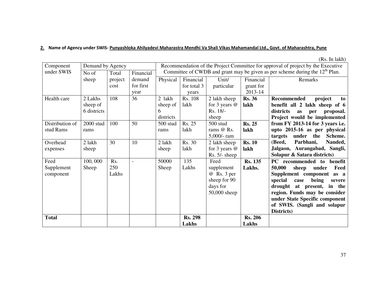#### <u>2.</u> Name of Agency under SWIS- <u>Punyashloka Ahilyadevi Maharastra Mendhi Va Shali Vikas Mahamandal Ltd., Govt. of Maharashtra, Pune</u>

| Component       | Demand by Agency |         |           | Recommendation of the Project Committee for approval of project by the Executive |                |                 |                |                                                                                |  |
|-----------------|------------------|---------|-----------|----------------------------------------------------------------------------------|----------------|-----------------|----------------|--------------------------------------------------------------------------------|--|
| under SWIS      | No of            | Total   | Financial |                                                                                  |                |                 |                | Committee of CWDB and grant may be given as per scheme during the $12th$ Plan. |  |
|                 | sheep            | project | demand    | Physical                                                                         | Financial      | Unit/           | Financial      | Remarks                                                                        |  |
|                 |                  | cost    | for first |                                                                                  | for total 3    | particular      | grant for      |                                                                                |  |
|                 |                  |         | year      |                                                                                  | years          |                 | 2013-14        |                                                                                |  |
| Health care     | 2 Lakhs          | 108     | 36        | 2 lakh                                                                           | Rs. 108        | 2 lakh sheep    | <b>Rs. 36</b>  | <b>Recommended</b><br>project<br>to                                            |  |
|                 | sheep of         |         |           | sheep of                                                                         | lakh           | for 3 years $@$ | lakh           | benefit all 2 lakh sheep of 6                                                  |  |
|                 | 6 districts      |         |           | 6                                                                                |                | Rs. 18/-        |                | districts<br>proposal.<br>as<br>per                                            |  |
|                 |                  |         |           | districts                                                                        |                | sheep           |                | Project would be implemented                                                   |  |
| Distribution of | 2000 stud        | 100     | 50        | 500 stud                                                                         | Rs. 25         | 500 stud        | <b>Rs. 25</b>  | from $FY$ 2013-14 for 3 years i.e.                                             |  |
| stud Rams       | rams             |         |           | rams                                                                             | lakh           | rams @ Rs.      | lakh           | upto 2015-16 as per physical                                                   |  |
|                 |                  |         |           |                                                                                  |                | 5,000/- ram     |                | under<br>targets<br>the<br>Scheme.                                             |  |
| Overhead        | 2 lakh           | 30      | 10        | 2 lakh                                                                           | Rs. 30         | 2 lakh sheep    | <b>Rs. 10</b>  | Parbhani,<br>(Beed,<br>Nanded,                                                 |  |
| expenses        | sheep            |         |           | sheep                                                                            | lakh           | for 3 years @   | lakh           | Jalgaon, Aurangabad, Sangli,                                                   |  |
|                 |                  |         |           |                                                                                  |                | $Rs. 5/- sheep$ |                | Solapur & Satara districts)                                                    |  |
| Feed            | 100,000          | Rs.     |           | 50000                                                                            | 135            | Feed            | <b>Rs. 135</b> | benefit<br>PC recommended to                                                   |  |
| Supplement      | Sheep            | 250     |           | Sheep                                                                            | Lakhs          | supplement      | Lakhs.         | 50,000<br>sheep<br>Feed<br>under                                               |  |
| component       |                  | Lakhs   |           |                                                                                  |                | @ Rs. 3 per     |                | Supplement component<br>as a                                                   |  |
|                 |                  |         |           |                                                                                  |                | sheep for 90    |                | special<br>being<br>case<br>severe                                             |  |
|                 |                  |         |           |                                                                                  |                | days for        |                | drought at present,<br>in the                                                  |  |
|                 |                  |         |           |                                                                                  |                | 50,000 sheep    |                | region. Funds may be consider                                                  |  |
|                 |                  |         |           |                                                                                  |                |                 |                | under State Specific component                                                 |  |
|                 |                  |         |           |                                                                                  |                |                 |                | of SWIS. (Sangli and solapur                                                   |  |
|                 |                  |         |           |                                                                                  |                |                 |                | Districts)                                                                     |  |
| <b>Total</b>    |                  |         |           |                                                                                  | <b>Rs. 298</b> |                 | <b>Rs. 206</b> |                                                                                |  |
|                 |                  |         |           |                                                                                  | Lakhs          |                 | Lakhs          |                                                                                |  |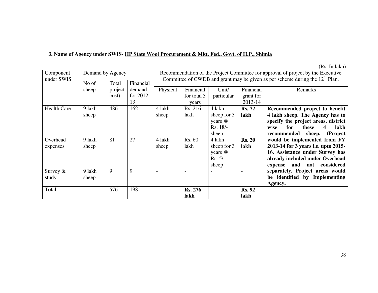## **3. Name of Agency under SWIS- HP State Wool Procurement & Mkt. Fed., Govt. of H.P., Shimla**

| Component          | Demand by Agency |         |              |          | Recommendation of the Project Committee for approval of project by the Executive |             |               |                                                                                |  |  |
|--------------------|------------------|---------|--------------|----------|----------------------------------------------------------------------------------|-------------|---------------|--------------------------------------------------------------------------------|--|--|
| under SWIS         | No of            | Total   | Financial    |          |                                                                                  |             |               | Committee of CWDB and grant may be given as per scheme during the $12th$ Plan. |  |  |
|                    | sheep            | project | demand       | Physical | Financial                                                                        | Unit/       | Financial     | Remarks                                                                        |  |  |
|                    |                  | cost)   | for $2012$ - |          | for total 3                                                                      | particular  | grant for     |                                                                                |  |  |
|                    |                  |         | 13           |          | years                                                                            |             | 2013-14       |                                                                                |  |  |
| <b>Health Care</b> | 9 lakh           | 486     | 162          | 4 lakh   | Rs. 216                                                                          | 4 lakh      | <b>Rs. 72</b> | Recommended project to benefit                                                 |  |  |
|                    | sheep            |         |              | sheep    | lakh                                                                             | sheep for 3 | lakh          | 4 lakh sheep. The Agency has to                                                |  |  |
|                    |                  |         |              |          |                                                                                  | years @     |               | specify the project areas, district                                            |  |  |
|                    |                  |         |              |          |                                                                                  | Rs. 18/-    |               | for<br>lakh<br>wise<br>these<br>4                                              |  |  |
|                    |                  |         |              |          |                                                                                  | sheep       |               | recommended<br>sheep.<br>(Project                                              |  |  |
| Overhead           | 9 lakh           | 81      | 27           | 4 lakh   | Rs. 60                                                                           | 4 lakh      | <b>Rs. 20</b> | would be implemented from FY                                                   |  |  |
| expenses           | sheep            |         |              | sheep    | lakh                                                                             | sheep for 3 | lakh          | 2013-14 for 3 years i.e. upto 2015-                                            |  |  |
|                    |                  |         |              |          |                                                                                  | years @     |               | 16. Assistance under Survey has                                                |  |  |
|                    |                  |         |              |          |                                                                                  | $Rs. 5/-$   |               | already included under Overhead                                                |  |  |
|                    |                  |         |              |          |                                                                                  | sheep       |               | not considered<br>and<br>expense                                               |  |  |
| Survey $&$         | 9 lakh           | 9       | 9            |          |                                                                                  |             |               | separately. Project areas would                                                |  |  |
| study              | sheep            |         |              |          |                                                                                  |             |               | be identified by Implementing                                                  |  |  |
|                    |                  |         |              |          |                                                                                  |             |               | Agency.                                                                        |  |  |
| Total              |                  | 576     | 198          |          | <b>Rs. 276</b>                                                                   |             | <b>Rs. 92</b> |                                                                                |  |  |
|                    |                  |         |              |          | lakh                                                                             |             | lakh          |                                                                                |  |  |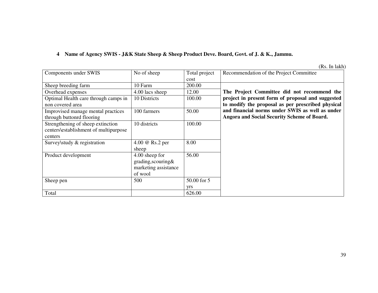# **4 Name of Agency SWIS - J&K State Sheep & Sheep Product Deve. Board, Govt. of J. & K., Jammu.**

| Components under SWIS                 | No of sheep          | Total project | Recommendation of the Project Committee           |
|---------------------------------------|----------------------|---------------|---------------------------------------------------|
|                                       |                      | cost          |                                                   |
| Sheep breeding farm                   | 10 Farm              | 200.00        |                                                   |
| Overhead expenses                     | 4.00 lacs sheep      | 12.00         | The Project Committee did not recommend the       |
| Optimal Health care through camps in  | 10 Districts         | 100.00        | project in present form of proposal and suggested |
| non covered area                      |                      |               | to modify the proposal as per prescribed physical |
| Improvised manage mental practices    | 100 farmers          | 50.00         | and financial norms under SWIS as well as under   |
| through buttonrd flooring             |                      |               | Angora and Social Security Scheme of Board.       |
| Strengthening of sheep extinction     | 10 districts         | 100.00        |                                                   |
| centers\establishment of multipurpose |                      |               |                                                   |
| centers                               |                      |               |                                                   |
| Survey\study & registration           | 4.00 @ Rs.2 per      | 8.00          |                                                   |
|                                       | sheep                |               |                                                   |
| Product development                   | 4.00 sheep for       | 56.00         |                                                   |
|                                       | grading, scouring&   |               |                                                   |
|                                       | marketing assistance |               |                                                   |
|                                       | of wool              |               |                                                   |
| Sheep pen                             | 500                  | 50.00 for 5   |                                                   |
|                                       |                      | yrs           |                                                   |
| Total                                 |                      | 626.00        |                                                   |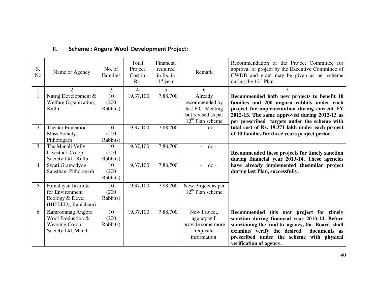| S.<br>N <sub>o</sub> | Name of Agency                                                                    | No. of<br>Families                   | Total<br>Project<br>Cost in<br>Rs. | Financial<br>required<br>in Rs. in<br>$1st$ year | Remark                                                                        | Recommendation of the Project Committee for<br>approval of project by the Executive Committee of<br>CWDB and grant may be given as per scheme<br>during the $12th$ Plan.                                                                                            |
|----------------------|-----------------------------------------------------------------------------------|--------------------------------------|------------------------------------|--------------------------------------------------|-------------------------------------------------------------------------------|---------------------------------------------------------------------------------------------------------------------------------------------------------------------------------------------------------------------------------------------------------------------|
|                      | $\overline{2}$                                                                    | 3                                    | 4                                  | 5                                                | 6                                                                             |                                                                                                                                                                                                                                                                     |
|                      | Natraj Development &<br>Welfare Organization,<br>Kullu                            | $\overline{10}$<br>(200)<br>Rabbits) | 19,37,100                          | 7,88,700                                         | Already<br>recommended by<br>last P.C. Meeting                                | Recommended both new projects to benefit 10<br>families and 200 angora rabbits under each<br>project for implementation during current FY                                                                                                                           |
|                      |                                                                                   |                                      |                                    |                                                  | but revised as per<br>$12th$ Plan scheme                                      | 2012-13. The same approved during 2012-13 as<br>per prescribed targets under the scheme with                                                                                                                                                                        |
| 2                    | <b>Theater Education</b><br>Mass Society,<br>Pithoragarh                          | 10<br>(200)<br>Rabbits)              | 19,37,100                          | 7,88,700                                         | $d$ o -                                                                       | total cost of Rs. 19.371 lakh under each project<br>of 10 families for three years project period.                                                                                                                                                                  |
| 3                    | The Manali Velly<br>Livestock Co-op.<br>Society Ltd., Kullu                       | 10<br>(200)<br>Rabbits)              | 19,37,100                          | 7,88,700                                         | $d$ o -                                                                       | Recommended these projects for timely sanction<br>during financial year 2013-14. These agencies                                                                                                                                                                     |
| 4                    | Swati Gramodyog<br>Sansthan, Pithoragarh                                          | 10<br>(200)<br>Rabbits)              | 19,37,100                          | 7,88,700                                         | $do -$                                                                        | have already implemented the similar project<br>during last Plan, successfully.                                                                                                                                                                                     |
| 5                    | Himalayan Institute<br>for Environment<br>Ecology & Deve.<br>(HIFEED), Ranichauri | 10<br>(200)<br>Rabbits)              | 19,37,100                          | 7,88,700                                         | New Project as per<br>$12th$ Plan scheme                                      |                                                                                                                                                                                                                                                                     |
| 6                    | Kamroonnag Angora<br>Wool Production &<br>Weaving Co-op<br>Society Ltd, Mandi     | 10<br>(200)<br>Rabbits)              | 19,37,100                          | 7,88,700                                         | New Project,<br>agency will<br>provide some more<br>requisite<br>information. | Recommended this new project for timely<br>sanction during financial year 2013-14. Before<br>sanctioning the fund to agency, the Board shall<br>examine/ verify the desired<br>documents as<br>prescribed under the scheme with physical<br>verification of agency. |

#### II.Scheme : Angora Wool Development Project: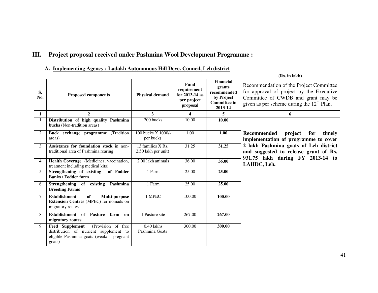# **III. Project proposal received under Pashmina Wool Development Programme :**

#### **A. Implementing Agency : Ladakh Autonomous Hill Deve. Council, Leh district**

|                |                                                                                                                                         |                                          |                                                                  |                                                                                           | (Rs. in lakh)                                                                                                                                                            |
|----------------|-----------------------------------------------------------------------------------------------------------------------------------------|------------------------------------------|------------------------------------------------------------------|-------------------------------------------------------------------------------------------|--------------------------------------------------------------------------------------------------------------------------------------------------------------------------|
| S.<br>No.      | <b>Proposed components</b>                                                                                                              | <b>Physical demand</b>                   | Fund<br>requirement<br>for 2013-14 as<br>per project<br>proposal | <b>Financial</b><br>grants<br>recommended<br>by Project<br><b>Committee in</b><br>2013-14 | Recommendation of the Project Committee<br>for approval of project by the Executive<br>Committee of CWDB and grant may be<br>given as per scheme during the $12th$ Plan. |
| $\mathbf{1}$   | $\mathbf{2}$                                                                                                                            | 3                                        | 4                                                                | 5                                                                                         | 6                                                                                                                                                                        |
|                | Distribution of high quality Pashmina<br><b>bucks</b> (Non-tradition areas)                                                             | 200 bucks                                | 10.00                                                            | 10.00                                                                                     |                                                                                                                                                                          |
| 2              | Buck exchange programme (Tradition<br>areas)                                                                                            | 100 bucks X 1000/-<br>per buck)          | 1.00                                                             | 1.00                                                                                      | <b>Recommended</b><br>project<br>for<br>timely<br>implementation of programme to cover                                                                                   |
| 3              | Assistance for foundation stock in non-<br>traditional area of Pashmina rearing                                                         | 13 families X Rs.<br>2.50 lakh per unit) | 31.25                                                            | 31.25                                                                                     | 2 lakh Pashmina goats of Leh district<br>and suggested to release grant of Rs.<br>931.75 lakh during FY 2013-14 to                                                       |
| $\overline{4}$ | Health Coverage (Medicines, vaccination,<br>treatment including medical kits)                                                           | 2.00 lakh animals                        | 36.00                                                            | 36.00                                                                                     | LAHDC, Leh.                                                                                                                                                              |
| 5              | Strengthening of existing<br>of Fodder<br><b>Banks / Fodder form</b>                                                                    | 1 Farm                                   | 25.00                                                            | 25.00                                                                                     |                                                                                                                                                                          |
| 6              | Strengthening of<br>existing<br>Pashmina<br><b>Breeding Farms</b>                                                                       | 1 Farm                                   | 25.00                                                            | 25.00                                                                                     |                                                                                                                                                                          |
|                | <b>Establishment</b><br>of<br><b>Multi-purpose</b><br>Extension Centres (MPEC) for nomads on<br>migratory routes                        | 1 MPEC                                   | 100.00                                                           | 100.00                                                                                    |                                                                                                                                                                          |
| 8              | Establishment of<br><b>Pasture</b><br>farm on<br>migratory routes                                                                       | 1 Pasture site                           | 267.00                                                           | 267.00                                                                                    |                                                                                                                                                                          |
| 9              | (Provision of free<br>Feed Supplement<br>distribution of nutrient supplement to<br>eligible Pashmina goats (weak/<br>pregnant<br>goats) | 0.40 lakhs<br>Pashmina Goats             | 300.00                                                           | 300.00                                                                                    |                                                                                                                                                                          |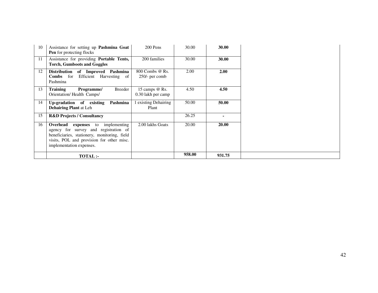| 10 | Assistance for setting up Pashmina Goat<br><b>Pen</b> for protecting flocks                                                                                                                               | 200 Pens                             | 30.00  | 30.00  |
|----|-----------------------------------------------------------------------------------------------------------------------------------------------------------------------------------------------------------|--------------------------------------|--------|--------|
| 11 | Assistance for providing Portable Tents,<br><b>Torch, Gumboots and Goggles</b>                                                                                                                            | 200 families                         | 30.00  | 30.00  |
| 12 | Distribution of Improved<br>Pashmina<br><b>Combs</b> for<br>Efficient Harvesting of<br>Pashmina                                                                                                           | 800 Combs @ Rs.<br>$250/-$ per comb  | 2.00   | 2.00   |
| 13 | Training<br>Breeder<br>Programme/<br>Orientation/Health Camps/                                                                                                                                            | 15 camps @ Rs.<br>0.30 lakh per camp | 4.50   | 4.50   |
| 14 | Up-gradation of existing<br>Pashmina<br><b>Dehairing Plant at Leh</b>                                                                                                                                     | existing Dehairing<br>Plant          | 50.00  | 50.00  |
| 15 | <b>R&amp;D Projects / Consultancy</b>                                                                                                                                                                     |                                      | 26.25  |        |
| 16 | Overhead<br>to implementing<br>expenses<br>agency for survey and registration of<br>beneficiaries, stationery, monitoring, field<br>visits, POL and provision for other misc.<br>implementation expenses. | 2.00 lakhs Goats                     | 20.00  | 20.00  |
|    | <b>TOTAL:-</b>                                                                                                                                                                                            |                                      | 958.00 | 931.75 |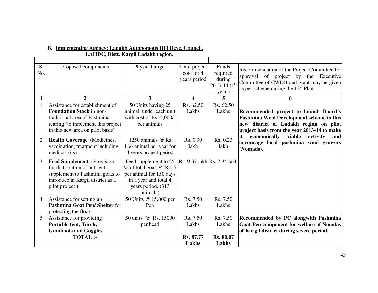| S.<br>No.      | Proposed components                                                                                                                                                          | Physical target                                                                                                                         | Total project<br>cost for 4<br>years period | Funds<br>required<br>during<br>$2013 - 14(1^{st})$<br>year) | Recommendation of the Project Committee for<br>approval of project by the Executive<br>Committee of CWDB and grant may be given<br>as per scheme during the $12th$ Plan.                                                   |
|----------------|------------------------------------------------------------------------------------------------------------------------------------------------------------------------------|-----------------------------------------------------------------------------------------------------------------------------------------|---------------------------------------------|-------------------------------------------------------------|----------------------------------------------------------------------------------------------------------------------------------------------------------------------------------------------------------------------------|
| $\mathbf{1}$   | $\overline{2}$                                                                                                                                                               | 3                                                                                                                                       | $\overline{\mathbf{4}}$                     | 5                                                           | 6                                                                                                                                                                                                                          |
|                | Assistance for establishment of<br><b>Foundation Stock</b> in non-<br>traditional area of Pashmina<br>rearing (to implement this project<br>in this new area on pilot basis) | 50 Units having 25<br>animal under each unit<br>with cost of Rs. 5,000/-<br>per animals                                                 | Rs. 62.50<br>Lakhs                          | Rs. 62.50<br>Lakhs                                          | Recommended project to launch Board's<br>Pashmina Wool Development scheme in this<br>new district of Ladakh region on pilot<br>project basis from the year 2013-14 to make<br>economically viable<br>it<br>activity<br>and |
| 2              | Health Coverage (Medicines,<br>vaccination, treatment including<br>medical kits)                                                                                             | 1250 animals @ Rs.<br>18/- animal per year for<br>4 years project period                                                                | Rs. 0.90<br>lakh                            | Rs. 0.23<br>lakh                                            | encourage local pashmina wool growers<br>(Nomads).                                                                                                                                                                         |
| 3 <sup>1</sup> | <b>Feed Supplement</b> (Provision<br>for distribution of nutrient<br>supplement to Pashmina goats to<br>introduce in Kargil district as a<br>pilot project)                  | Feed supplement to 25<br>% of total goat @ Rs. 5<br>per animal for 150 days<br>in a year and total 4<br>years period. (313)<br>animals) | Rs. 9.37 lakh Rs. 2.34 lakh                 |                                                             |                                                                                                                                                                                                                            |
| $\overline{4}$ | Assistance for setting up<br>Pashmina Goat Pen/Shelter for<br>protecting the flock                                                                                           | 50 Units @ 15,000 per<br>Pen                                                                                                            | Rs. 7.50<br>Lakhs                           | Rs. 7.50<br>Lakhs                                           |                                                                                                                                                                                                                            |
| $\overline{5}$ | Assistance for providing<br>Portable tent, Torch,<br><b>Gumboots and Goggles</b>                                                                                             | 50 units @ Rs. 15000<br>per head                                                                                                        | Rs. 7.50<br>Lakhs                           | Rs. 7.50<br>Lakhs                                           | Recommended by PC alongwith Pashmina<br><b>Goat Pen component for welfare of Nomdas</b><br>of Kargil district during severe period.                                                                                        |
|                | <b>TOTAL:-</b>                                                                                                                                                               |                                                                                                                                         | Rs. 87.77<br>Lakhs                          | <b>Rs. 80.07</b><br>Lakhs                                   |                                                                                                                                                                                                                            |

# **B. Implementing Agency: Ladakh Autonomous Hill Deve. Council,**

**LAHDC, Distt. Kargil Ladakh region.**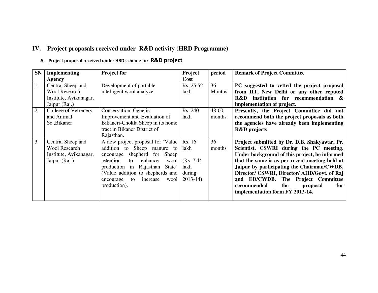# **IV. Project proposals received under R&D activity (HRD Programme)**

#### A. Project proposal received under HRD scheme for R&D project

| <b>SN</b>      | <b>Implementing</b>    | <b>Project for</b>                  | Project    | period | <b>Remark of Project Committee</b>             |
|----------------|------------------------|-------------------------------------|------------|--------|------------------------------------------------|
|                | Agency                 |                                     | Cost       |        |                                                |
|                | Central Sheep and      | Development of portable             | Rs. 25.52  | 36     | PC suggested to vetted the project proposal    |
|                | <b>Wool Research</b>   | intelligent wool analyzer           | lakh       | Months | from IIT, New Delhi or any other reputed       |
|                | Institute, Avikanagar, |                                     |            |        | institution for recommendation &<br>R&D        |
|                | Jaipur (Raj.)          |                                     |            |        | implementation of project.                     |
| $\overline{2}$ | College of Vetrenery   | Conservation, Genetic               | Rs. 240    | 48-60  | Presently, the Project Committee did not       |
|                | and Animal             | Improvement and Evaluation of       | lakh       | months | recommend both the project proposals as both   |
|                | Sc., Bikaner           | Bikaneri-Chokla Sheep in its home   |            |        | the agencies have already been implementing    |
|                |                        | tract in Bikaner District of        |            |        | <b>R&amp;D</b> projects                        |
|                |                        | Rajasthan.                          |            |        |                                                |
| 3              | Central Sheep and      | A new project proposal for 'Value   | Rs. 16     | 36     | Project submitted by Dr. D.B. Shakyawar, Pr.   |
|                | <b>Wool Research</b>   | addition to Sheep manure to         | lakh       | months | Scientist, CSWRI during the PC meeting.        |
|                | Institute, Avikanagar, | for<br>encourage shepherd<br>Sheep  |            |        | Under background of this project, he informed  |
|                | Jaipur (Raj.)          | retention<br>enhance<br>wool<br>to  | (Rs. 7.44) |        | that the same is as per recent meeting held at |
|                |                        | production in Rajasthan<br>State'   | lakh       |        | Jaipur by participating the Chairman/CWDB,     |
|                |                        | (Value addition to shepherds and    | during     |        | Director/ CSWRI, Director/ AHD/Govt. of Raj    |
|                |                        | wool<br>to<br>increase<br>encourage | $2013-14$  |        | and ED/CWDB.<br>The Project Committee          |
|                |                        | production).                        |            |        | recommended<br>the<br>proposal<br>for          |
|                |                        |                                     |            |        | implementation form FY 2013-14.                |
|                |                        |                                     |            |        |                                                |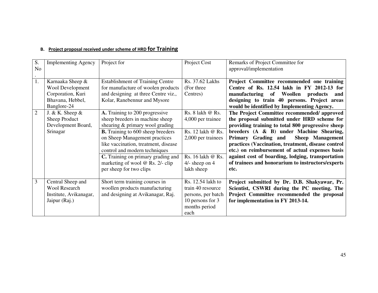| S.<br>N <sub>o</sub> | <b>Implementing Agency</b>                                                                   | Project for                                                                                                                                                                                                                                                                                                                                                            | Project Cost                                                                                                                                  | Remarks of Project Committee for<br>approval/implementation                                                                                                                                                                                                                                                                                                                                                                                                      |
|----------------------|----------------------------------------------------------------------------------------------|------------------------------------------------------------------------------------------------------------------------------------------------------------------------------------------------------------------------------------------------------------------------------------------------------------------------------------------------------------------------|-----------------------------------------------------------------------------------------------------------------------------------------------|------------------------------------------------------------------------------------------------------------------------------------------------------------------------------------------------------------------------------------------------------------------------------------------------------------------------------------------------------------------------------------------------------------------------------------------------------------------|
| 1.                   | Karnaaka Sheep &<br>Wool Development<br>Corporation, Kuri<br>Bhavana, Hebbel,<br>Banglore-24 | <b>Establishment of Training Centre</b><br>for manufacture of woolen products<br>and designing at three Centre viz.,<br>Kolar, Ranebennur and Mysore                                                                                                                                                                                                                   | Rs. 37.62 Lakhs<br>(For three<br>Centres)                                                                                                     | Project Committee recommended one training<br>Centre of Rs. 12.54 lakh in FY 2012-13 for<br>manufacturing of Woollen<br>products<br>and<br>designing to train 40 persons. Project areas<br>would be identified by Implementing Agency.                                                                                                                                                                                                                           |
| 2                    | J. & K. Sheep $\&$<br>Sheep Product<br>Development Board,<br>Srinagar                        | A. Training to 200 progressive<br>sheep breeders in machine sheep<br>shearing & primary wool grading<br><b>B.</b> Training to 600 sheep breeders<br>on Sheep Management practices<br>like vaccination, treatment, disease<br>control and modern techniques<br><b>C.</b> Training on primary grading and<br>marketing of wool @ Rs. 2/- clip<br>per sheep for two clips | Rs. $8$ lakh $@$ Rs.<br>4,000 per trainee<br>Rs. 12 lakh @ Rs.<br>2,000 per trainees<br>Rs. 16 lakh @ Rs.<br>$4/-$ sheep on $4$<br>lakh sheep | The Project Committee recommended/approved<br>the proposal submitted under HRD scheme for<br>providing training to total 800 progressive sheep<br>breeders (A & B) under Machine Shearing,<br>Sheep Management<br>Primary Grading and<br>practices (Vaccination, treatment, disease control<br>etc.) on reimbursement of actual expenses basis<br>against cost of boarding, lodging, transportation<br>of trainees and honorarium to instructors/experts<br>etc. |
| $\overline{3}$       | Central Sheep and<br><b>Wool Research</b><br>Institute, Avikanagar,<br>Jaipur (Raj.)         | Short term training courses in<br>woollen products manufacturing<br>and designing at Avikanagar, Raj.                                                                                                                                                                                                                                                                  | Rs. 12.54 lakh to<br>train 40 resource<br>persons, per batch<br>10 persons for 3<br>months period<br>each                                     | Project submitted by Dr. D.B. Shakyawar, Pr.<br>Scientist, CSWRI during the PC meeting. The<br>Project Committee recommended the proposal<br>for implementation in FY 2013-14.                                                                                                                                                                                                                                                                                   |

#### B. Project proposal received under scheme of HRD fOr Training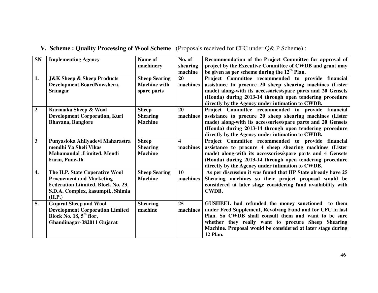| <b>SN</b>          | <b>Implementing Agency</b>                                                                                                                             | Name of<br>machinery                                       | No. of<br>shearing<br>machine       | Recommendation of the Project Committee for approval of<br>project by the Executive Committee of CWDB and grant may<br>be given as per scheme during the $12th$ Plan.                                                                                                                                   |
|--------------------|--------------------------------------------------------------------------------------------------------------------------------------------------------|------------------------------------------------------------|-------------------------------------|---------------------------------------------------------------------------------------------------------------------------------------------------------------------------------------------------------------------------------------------------------------------------------------------------------|
| 1.                 | <b>J&amp;K Sheep &amp; Sheep Products</b><br>Development BoardNowshera,<br><b>Srinagar</b>                                                             | <b>Sheep Searing</b><br><b>Machine with</b><br>spare parts | 20<br>machines                      | Project Committee recommended to provide financial<br>assistance to procure 20 sheep shearing machines (Lister<br>made) along-with its accessories/spare parts and 20 Gensets<br>(Honda) during 2013-14 through open tendering procedure<br>directly by the Agency under intimation to CWDB.            |
| $\boldsymbol{2}$   | Karnaaka Sheep & Wool<br><b>Development Corporation, Kuri</b><br><b>Bhavana</b> , <b>Banglore</b>                                                      | <b>Sheep</b><br><b>Shearing</b><br><b>Machine</b>          | 20<br>machines                      | Project Committee recommended to provide financial<br>assistance to procure 20 sheep shearing machines (Lister<br>made) along-with its accessories/spare parts and 20 Gensets<br>(Honda) during 2013-14 through open tendering procedure<br>directly by the Agency under intimation to CWDB.            |
| $\mathbf{3}$       | Punyasloka Ahilyadevi Maharastra<br>mendhi Va Sheli Vikas<br><b>Mahamandal : Limited, Mendi</b><br>Farm, Pune-16                                       | <b>Sheep</b><br><b>Shearing</b><br><b>Machine</b>          | $\overline{\mathbf{4}}$<br>machines | Project Committee recommended to provide financial<br>assistance to procure 4 sheep shearing machines (Lister<br>made) along-with its accessories/spare parts and 4 Gensets<br>(Honda) during 2013-14 through open tendering procedure<br>directly by the Agency under intimation to CWDB.              |
| $\boldsymbol{4}$ . | The H.P. State Coperative Wool<br><b>Procuement and Marketing</b><br>Federation Liimited, Block No. 23,<br>S.D.A. Complex, kasumpti., Shimla<br>(H.P.) | <b>Sheep Searing</b><br><b>Machine</b>                     | 10<br>machines                      | As per discussion it was found that HP State already have 25<br>Shearing machines so their project proposal would be<br>considered at later stage considering fund availability with<br><b>CWDB.</b>                                                                                                    |
| 5.                 | <b>Gujarat Sheep and Wool</b><br><b>Development Corporation Limited</b><br>Block No. $18, 5th$ flor,<br>Ghandinagar-382011 Gujarat                     | <b>Shearing</b><br>machine                                 | 25<br>machines                      | GUSHEEL had refunded the money sanctioned to them<br>under Feed Supplement, Revolving Fund and for CFC in last<br>Plan. So CWDB shall consult them and want to be sure<br>whether they really want to procure Sheep Shearing<br>Machine. Proposal would be considered at later stage during<br>12 Plan. |

## **V. Scheme : Quality Processing of Wool Scheme** (Proposals received for CFC under Q& P Scheme) :